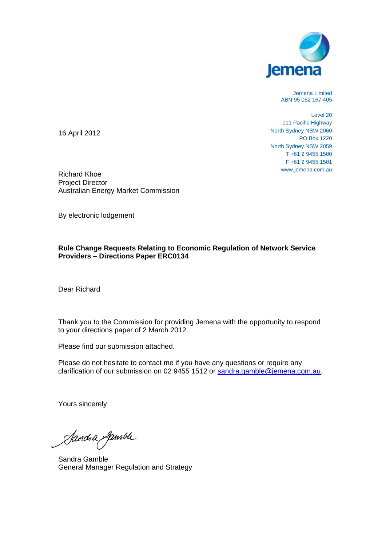

Jemena Limited ABN 95 052 167 405

Level 20 111 Pacific Highway North Sydney NSW 2060 PO Box 1220 North Sydney NSW 2059 T +61 2 9455 1500 F +61 2 9455 1501 www.jemena.com.au

16 April 2012

Richard Khoe Project Director Australian Energy Market Commission

By electronic lodgement

## **Rule Change Requests Relating to Economic Regulation of Network Service Providers – Directions Paper ERC0134**

Dear Richard

Thank you to the Commission for providing Jemena with the opportunity to respond to your directions paper of 2 March 2012.

Please find our submission attached.

Please do not hesitate to contact me if you have any questions or require any clarification of our submission on 02 9455 1512 or sandra.gamble@jemena.com.au.

Yours sincerely

Sandra gamble

Sandra Gamble General Manager Regulation and Strategy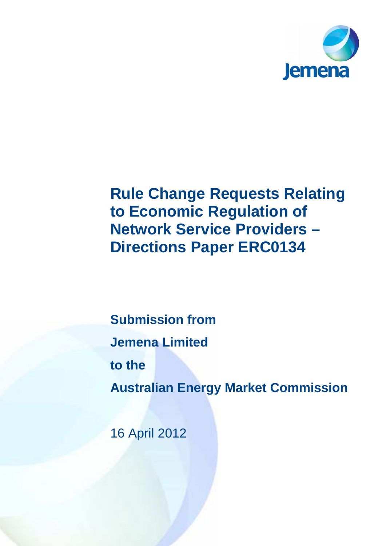

# **Rule Change Requests Relating to Economic Regulation of Network Service Providers – Directions Paper ERC0134**

**Submission from Jemena Limited to the Australian Energy Market Commission** 

16 April 2012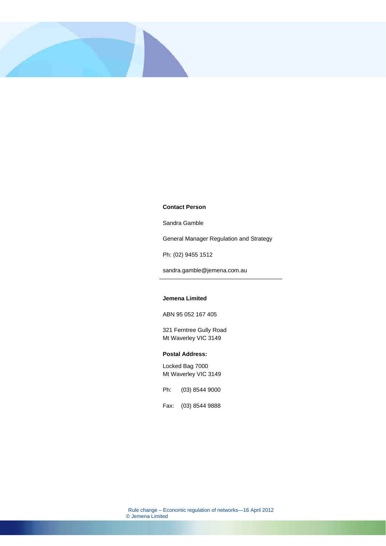

#### **Contact Person**

Sandra Gamble

General Manager Regulation and Strategy

Ph: (02) 9455 1512

sandra.gamble@jemena.com.au

#### **Jemena Limited**

ABN 95 052 167 405

321 Ferntree Gully Road Mt Waverley VIC 3149

#### **Postal Address:**

Locked Bag 7000 Mt Waverley VIC 3149

Ph: (03) 8544 9000

Fax: (03) 8544 9888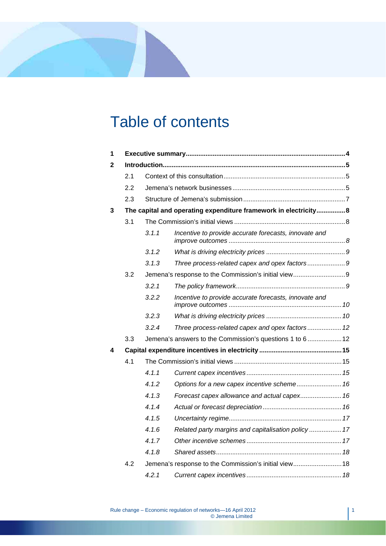# Table of contents

| 1 |                                                                 |       |                                                          |  |  |  |  |  |  |
|---|-----------------------------------------------------------------|-------|----------------------------------------------------------|--|--|--|--|--|--|
| 2 |                                                                 |       |                                                          |  |  |  |  |  |  |
|   | 2.1                                                             |       |                                                          |  |  |  |  |  |  |
|   | 2.2                                                             |       |                                                          |  |  |  |  |  |  |
|   | 2.3                                                             |       |                                                          |  |  |  |  |  |  |
| 3 | The capital and operating expenditure framework in electricity8 |       |                                                          |  |  |  |  |  |  |
|   | 3.1                                                             |       |                                                          |  |  |  |  |  |  |
|   |                                                                 | 3.1.1 | Incentive to provide accurate forecasts, innovate and    |  |  |  |  |  |  |
|   |                                                                 | 3.1.2 |                                                          |  |  |  |  |  |  |
|   |                                                                 | 3.1.3 | Three process-related capex and opex factors9            |  |  |  |  |  |  |
|   | 3.2                                                             |       |                                                          |  |  |  |  |  |  |
|   |                                                                 | 3.2.1 |                                                          |  |  |  |  |  |  |
|   |                                                                 | 3.2.2 | Incentive to provide accurate forecasts, innovate and    |  |  |  |  |  |  |
|   |                                                                 | 3.2.3 |                                                          |  |  |  |  |  |  |
|   |                                                                 | 3.2.4 | Three process-related capex and opex factors 12          |  |  |  |  |  |  |
|   | 3.3                                                             |       | Jemena's answers to the Commission's questions 1 to 6 12 |  |  |  |  |  |  |
| 4 |                                                                 |       |                                                          |  |  |  |  |  |  |
|   | 4.1                                                             |       |                                                          |  |  |  |  |  |  |
|   |                                                                 | 4.1.1 |                                                          |  |  |  |  |  |  |
|   |                                                                 | 4.1.2 | Options for a new capex incentive scheme 16              |  |  |  |  |  |  |
|   |                                                                 | 4.1.3 | Forecast capex allowance and actual capex 16             |  |  |  |  |  |  |
|   |                                                                 | 4.1.4 |                                                          |  |  |  |  |  |  |
|   |                                                                 | 4.1.5 |                                                          |  |  |  |  |  |  |
|   |                                                                 | 4.1.6 | Related party margins and capitalisation policy  17      |  |  |  |  |  |  |
|   |                                                                 | 4.1.7 |                                                          |  |  |  |  |  |  |
|   |                                                                 | 4.1.8 |                                                          |  |  |  |  |  |  |
|   | 4.2                                                             |       | Jemena's response to the Commission's initial view 18    |  |  |  |  |  |  |
|   |                                                                 | 4.2.1 |                                                          |  |  |  |  |  |  |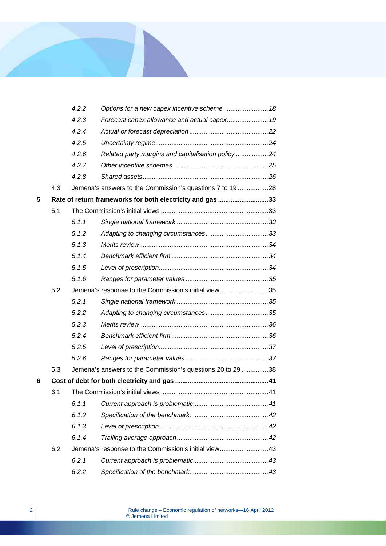|   |     | 4.2.2 | Options for a new capex incentive scheme 18                |  |
|---|-----|-------|------------------------------------------------------------|--|
|   |     | 4.2.3 | Forecast capex allowance and actual capex 19               |  |
|   |     | 4.2.4 |                                                            |  |
|   |     | 4.2.5 |                                                            |  |
|   |     | 4.2.6 | Related party margins and capitalisation policy 24         |  |
|   |     | 4.2.7 |                                                            |  |
|   |     | 4.2.8 |                                                            |  |
|   | 4.3 |       | Jemena's answers to the Commission's questions 7 to 1928   |  |
| 5 |     |       | Rate of return frameworks for both electricity and gas 33  |  |
|   | 5.1 |       |                                                            |  |
|   |     | 5.1.1 |                                                            |  |
|   |     | 5.1.2 |                                                            |  |
|   |     | 5.1.3 |                                                            |  |
|   |     | 5.1.4 |                                                            |  |
|   |     | 5.1.5 |                                                            |  |
|   |     | 5.1.6 |                                                            |  |
|   | 5.2 |       | Jemena's response to the Commission's initial view35       |  |
|   |     | 5.2.1 |                                                            |  |
|   |     | 5.2.2 |                                                            |  |
|   |     | 5.2.3 |                                                            |  |
|   |     | 5.2.4 |                                                            |  |
|   |     | 5.2.5 |                                                            |  |
|   |     | 5.2.6 |                                                            |  |
|   | 5.3 |       | Jemena's answers to the Commission's questions 20 to 29 38 |  |
| 6 |     |       |                                                            |  |
|   | 6.1 |       |                                                            |  |
|   |     | 6.1.1 |                                                            |  |
|   |     | 6.1.2 |                                                            |  |
|   |     | 6.1.3 |                                                            |  |
|   |     | 6.1.4 |                                                            |  |
|   | 6.2 |       | Jemena's response to the Commission's initial view43       |  |
|   |     | 6.2.1 |                                                            |  |
|   |     | 6.2.2 |                                                            |  |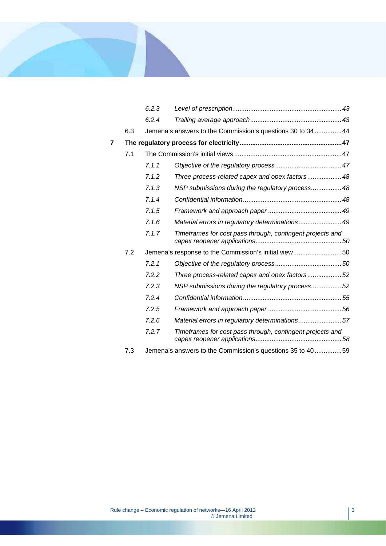

|   |     | 6.2.3 |                                                             |  |
|---|-----|-------|-------------------------------------------------------------|--|
|   |     | 6.2.4 |                                                             |  |
|   | 6.3 |       | Jemena's answers to the Commission's questions 30 to 34  44 |  |
| 7 |     |       |                                                             |  |
|   | 7.1 |       |                                                             |  |
|   |     | 7.1.1 |                                                             |  |
|   |     | 7.1.2 | Three process-related capex and opex factors  48            |  |
|   |     | 7.1.3 | NSP submissions during the regulatory process 48            |  |
|   |     | 7.1.4 |                                                             |  |
|   |     | 7.1.5 |                                                             |  |
|   |     | 7.1.6 | Material errors in regulatory determinations49              |  |
|   |     | 7.1.7 | Timeframes for cost pass through, contingent projects and   |  |
|   | 7.2 |       | Jemena's response to the Commission's initial view50        |  |
|   |     | 7.2.1 |                                                             |  |
|   |     | 7.2.2 | Three process-related capex and opex factors52              |  |
|   |     | 7.2.3 | NSP submissions during the regulatory process52             |  |
|   |     | 7.2.4 |                                                             |  |
|   |     | 7.2.5 |                                                             |  |
|   |     | 7.2.6 | Material errors in regulatory determinations57              |  |
|   |     | 7.2.7 | Timeframes for cost pass through, contingent projects and   |  |
|   | 7.3 |       | Jemena's answers to the Commission's questions 35 to 4059   |  |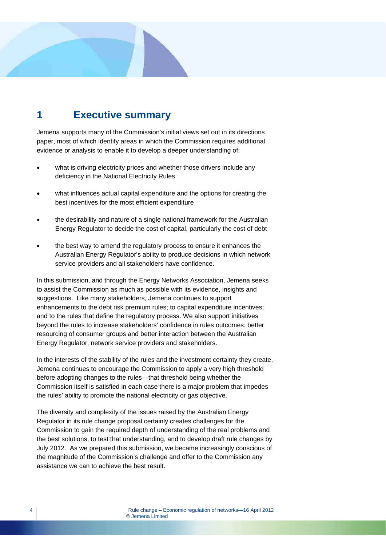## **1 Executive summary**

Jemena supports many of the Commission's initial views set out in its directions paper, most of which identify areas in which the Commission requires additional evidence or analysis to enable it to develop a deeper understanding of:

- what is driving electricity prices and whether those drivers include any deficiency in the National Electricity Rules
- what influences actual capital expenditure and the options for creating the best incentives for the most efficient expenditure
- the desirability and nature of a single national framework for the Australian Energy Regulator to decide the cost of capital, particularly the cost of debt
- the best way to amend the regulatory process to ensure it enhances the Australian Energy Regulator's ability to produce decisions in which network service providers and all stakeholders have confidence.

In this submission, and through the Energy Networks Association, Jemena seeks to assist the Commission as much as possible with its evidence, insights and suggestions. Like many stakeholders, Jemena continues to support enhancements to the debt risk premium rules; to capital expenditure incentives; and to the rules that define the regulatory process. We also support initiatives beyond the rules to increase stakeholders' confidence in rules outcomes: better resourcing of consumer groups and better interaction between the Australian Energy Regulator, network service providers and stakeholders.

In the interests of the stability of the rules and the investment certainty they create, Jemena continues to encourage the Commission to apply a very high threshold before adopting changes to the rules—that threshold being whether the Commission itself is satisfied in each case there is a major problem that impedes the rules' ability to promote the national electricity or gas objective.

The diversity and complexity of the issues raised by the Australian Energy Regulator in its rule change proposal certainly creates challenges for the Commission to gain the required depth of understanding of the real problems and the best solutions, to test that understanding, and to develop draft rule changes by July 2012. As we prepared this submission, we became increasingly conscious of the magnitude of the Commission's challenge and offer to the Commission any assistance we can to achieve the best result.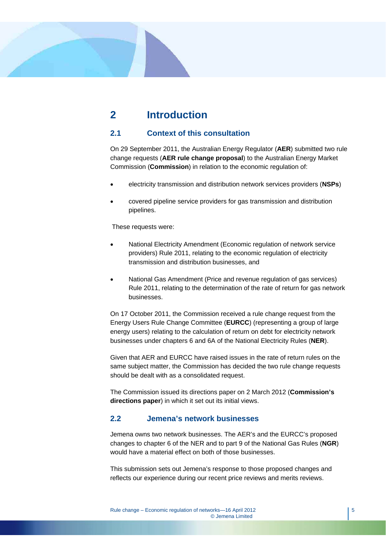## **2 Introduction**

## **2.1 Context of this consultation**

On 29 September 2011, the Australian Energy Regulator (**AER**) submitted two rule change requests (**AER rule change proposal**) to the Australian Energy Market Commission (**Commission**) in relation to the economic regulation of:

- electricity transmission and distribution network services providers (**NSPs**)
- covered pipeline service providers for gas transmission and distribution pipelines.

These requests were:

- National Electricity Amendment (Economic regulation of network service providers) Rule 2011, relating to the economic regulation of electricity transmission and distribution businesses, and
- National Gas Amendment (Price and revenue regulation of gas services) Rule 2011, relating to the determination of the rate of return for gas network businesses.

On 17 October 2011, the Commission received a rule change request from the Energy Users Rule Change Committee (**EURCC**) (representing a group of large energy users) relating to the calculation of return on debt for electricity network businesses under chapters 6 and 6A of the National Electricity Rules (**NER**).

Given that AER and EURCC have raised issues in the rate of return rules on the same subject matter, the Commission has decided the two rule change requests should be dealt with as a consolidated request.

The Commission issued its directions paper on 2 March 2012 (**Commission's directions paper**) in which it set out its initial views.

## **2.2 Jemena's network businesses**

Jemena owns two network businesses. The AER's and the EURCC's proposed changes to chapter 6 of the NER and to part 9 of the National Gas Rules (**NGR**) would have a material effect on both of those businesses.

This submission sets out Jemena's response to those proposed changes and reflects our experience during our recent price reviews and merits reviews.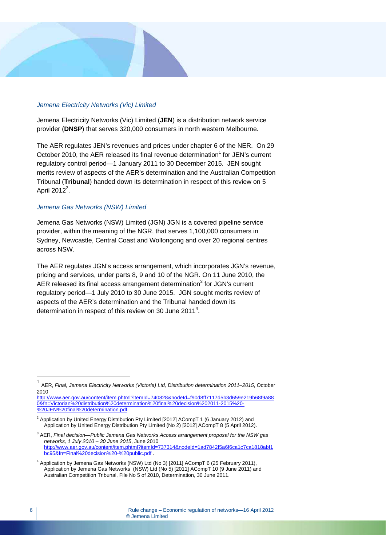## *Jemena Electricity Networks (Vic) Limited*

Jemena Electricity Networks (Vic) Limited (**JEN**) is a distribution network service provider (**DNSP**) that serves 320,000 consumers in north western Melbourne.

The AER regulates JEN's revenues and prices under chapter 6 of the NER. On 29 October 2010, the AER released its final revenue determination<sup>1</sup> for JEN's current regulatory control period—1 January 2011 to 30 December 2015. JEN sought merits review of aspects of the AER's determination and the Australian Competition Tribunal (**Tribunal**) handed down its determination in respect of this review on 5 April 2012 $^2$ .

## *Jemena Gas Networks (NSW) Limited*

Jemena Gas Networks (NSW) Limited (JGN) JGN is a covered pipeline service provider, within the meaning of the NGR, that serves 1,100,000 consumers in Sydney, Newcastle, Central Coast and Wollongong and over 20 regional centres across NSW.

The AER regulates JGN's access arrangement, which incorporates JGN's revenue, pricing and services, under parts 8, 9 and 10 of the NGR. On 11 June 2010, the AER released its final access arrangement determination<sup>3</sup> for JGN's current regulatory period—1 July 2010 to 30 June 2015. JGN sought merits review of aspects of the AER's determination and the Tribunal handed down its determination in respect of this review on 30 June 2011<sup>4</sup>.

http://www.aer.gov.au/content/item.phtml?itemId=740828&nodeId=f90d8ff7117d5b3d659e219b68f9a88 0&fn=Victorian%20distribution%20determination%20final%20decision%202011-2015%20- %20JEN%20final%20determination.pdf

<sup>1</sup> AER, *Final, Jemena Electricity Networks (Victoria) Ltd, Distribution determination 2011–2015*, October 2010

<sup>2</sup> Application by United Energy Distribution Pty Limited [2012] ACompT 1 (6 January 2012) and Application by United Energy Distribution Pty Limited (No 2) [2012] ACompT 8 (5 April 2012).

<sup>3</sup> AER, *Final decision—Public Jemena Gas Networks Access arrangement proposal for the NSW gas networks, 1 July 2010 – 30 June 2015*, June 2010 http://www.aer.gov.au/content/item.phtml?itemId=737314&nodeId=1ad7842f5a6f6ca1c7ca1818abf1 bc95&fn=Final%20decision%20-%20public.pdf .

<sup>&</sup>lt;sup>4</sup> Application by Jemena Gas Networks (NSW) Ltd (No 3) [2011] ACompT 6 (25 February 2011), Application by Jemena Gas Networks (NSW) Ltd (No 5) [2011] ACompT 10 (9 June 2011) and Australian Competition Tribunal, File No 5 of 2010, Determination, 30 June 2011.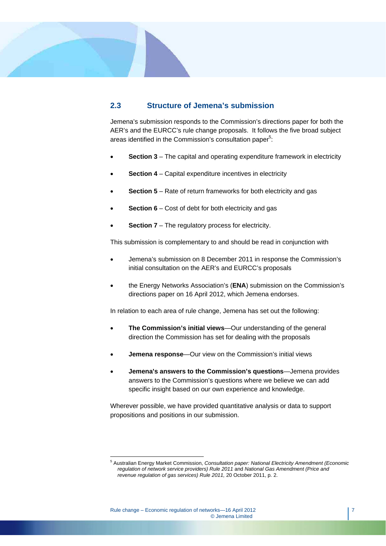## **2.3 Structure of Jemena's submission**

Jemena's submission responds to the Commission's directions paper for both the AER's and the EURCC's rule change proposals. It follows the five broad subject areas identified in the Commission's consultation paper<sup>5</sup>:

- **Section 3** The capital and operating expenditure framework in electricity
- **Section 4** Capital expenditure incentives in electricity
- **Section 5**  Rate of return frameworks for both electricity and gas
- **Section 6** Cost of debt for both electricity and gas
- **Section 7** The regulatory process for electricity.

This submission is complementary to and should be read in conjunction with

- Jemena's submission on 8 December 2011 in response the Commission's initial consultation on the AER's and EURCC's proposals
- the Energy Networks Association's (**ENA**) submission on the Commission's directions paper on 16 April 2012, which Jemena endorses.

In relation to each area of rule change, Jemena has set out the following:

- **The Commission's initial views**—Our understanding of the general direction the Commission has set for dealing with the proposals
- **Jemena response**—Our view on the Commission's initial views
- **Jemena's answers to the Commission's questions**—Jemena provides answers to the Commission's questions where we believe we can add specific insight based on our own experience and knowledge.

Wherever possible, we have provided quantitative analysis or data to support propositions and positions in our submission.

 5 Australian Energy Market Commission, *Consultation paper: National Electricity Amendment (Economic regulation of network service providers) Rule 2011* and *National Gas Amendment (Price and revenue regulation of gas services) Rule 2011,* 20 October 2011, p. 2.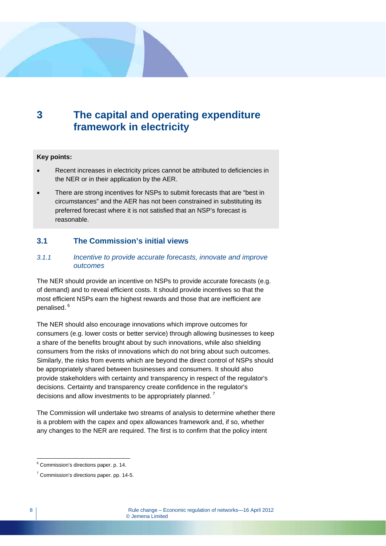## **3 The capital and operating expenditure framework in electricity**

## **Key points:**

- Recent increases in electricity prices cannot be attributed to deficiencies in the NER or in their application by the AER.
- There are strong incentives for NSPs to submit forecasts that are "best in circumstances" and the AER has not been constrained in substituting its preferred forecast where it is not satisfied that an NSP's forecast is reasonable.

## **3.1 The Commission's initial views**

## *3.1.1 Incentive to provide accurate forecasts, innovate and improve outcomes*

The NER should provide an incentive on NSPs to provide accurate forecasts (e.g. of demand) and to reveal efficient costs. It should provide incentives so that the most efficient NSPs earn the highest rewards and those that are inefficient are penalised. 6

The NER should also encourage innovations which improve outcomes for consumers (e.g. lower costs or better service) through allowing businesses to keep a share of the benefits brought about by such innovations, while also shielding consumers from the risks of innovations which do not bring about such outcomes. Similarly, the risks from events which are beyond the direct control of NSPs should be appropriately shared between businesses and consumers. It should also provide stakeholders with certainty and transparency in respect of the regulator's decisions. Certainty and transparency create confidence in the regulator's decisions and allow investments to be appropriately planned.<sup>7</sup>

The Commission will undertake two streams of analysis to determine whether there is a problem with the capex and opex allowances framework and, if so, whether any changes to the NER are required. The first is to confirm that the policy intent

e<br><sup>6</sup> Commission's directions paper. p. 14.

 $7$  Commission's directions paper. pp. 14-5.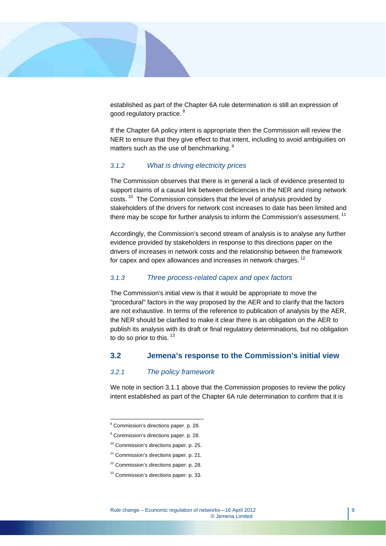

established as part of the Chapter 6A rule determination is still an expression of good regulatory practice.<sup>8</sup>

If the Chapter 6A policy intent is appropriate then the Commission will review the NER to ensure that they give effect to that intent, including to avoid ambiguities on matters such as the use of benchmarking. <sup>9</sup>

## *3.1.2 What is driving electricity prices*

The Commission observes that there is in general a lack of evidence presented to support claims of a causal link between deficiencies in the NER and rising network costs.<sup>10</sup> The Commission considers that the level of analysis provided by stakeholders of the drivers for network cost increases to date has been limited and there may be scope for further analysis to inform the Commission's assessment.<sup>11</sup>

Accordingly, the Commission's second stream of analysis is to analyse any further evidence provided by stakeholders in response to this directions paper on the drivers of increases in network costs and the relationship between the framework for capex and opex allowances and increases in network charges.<sup>12</sup>

## *3.1.3 Three process-related capex and opex factors*

The Commission's initial view is that it would be appropriate to move the "procedural" factors in the way proposed by the AER and to clarify that the factors are not exhaustive. In terms of the reference to publication of analysis by the AER, the NER should be clarified to make it clear there is an obligation on the AER to publish its analysis with its draft or final regulatory determinations, but no obligation to do so prior to this.  $13$ 

## **3.2 Jemena's response to the Commission's initial view**

## *3.2.1 The policy framework*

We note in section 3.1.1 above that the Commission proposes to review the policy intent established as part of the Chapter 6A rule determination to confirm that it is

<sup>&</sup>lt;sup>8</sup> Commission's directions paper. p. 28.

<sup>&</sup>lt;sup>9</sup> Commission's directions paper. p. 28.

<sup>&</sup>lt;sup>10</sup> Commission's directions paper. p. 25.

<sup>&</sup>lt;sup>11</sup> Commission's directions paper. p. 21.

<sup>&</sup>lt;sup>12</sup> Commission's directions paper. p. 28.

<sup>&</sup>lt;sup>13</sup> Commission's directions paper. p. 33.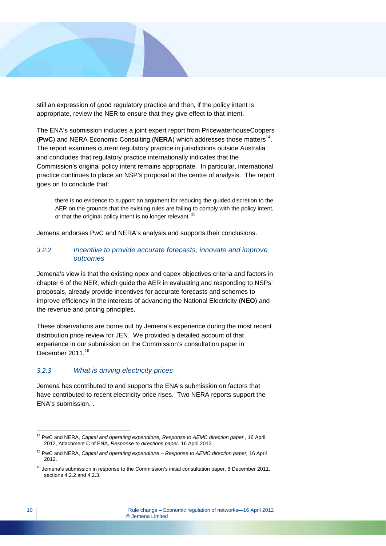still an expression of good regulatory practice and then, if the policy intent is appropriate, review the NER to ensure that they give effect to that intent.

The ENA's submission includes a joint expert report from PricewaterhouseCoopers (**PwC**) and NERA Economic Consulting (**NERA**) which addresses those matters<sup>14</sup>. The report examines current regulatory practice in jurisdictions outside Australia and concludes that regulatory practice internationally indicates that the Commission's original policy intent remains appropriate. In particular, international practice continues to place an NSP's proposal at the centre of analysis. The report goes on to conclude that:

there is no evidence to support an argument for reducing the guided discretion to the AER on the grounds that the existing rules are failing to comply with the policy intent, or that the original policy intent is no longer relevant.<sup>15</sup>

Jemena endorses PwC and NERA's analysis and supports their conclusions.

## *3.2.2 Incentive to provide accurate forecasts, innovate and improve outcomes*

Jemena's view is that the existing opex and capex objectives criteria and factors in chapter 6 of the NER, which guide the AER in evaluating and responding to NSPs' proposals, already provide incentives for accurate forecasts and schemes to improve efficiency in the interests of advancing the National Electricity (**NEO**) and the revenue and pricing principles.

These observations are borne out by Jemena's experience during the most recent distribution price review for JEN. We provided a detailed account of that experience in our submission on the Commission's consultation paper in December 2011.<sup>16</sup>

## *3.2.3 What is driving electricity prices*

Jemena has contributed to and supports the ENA's submission on factors that have contributed to recent electricity price rises. Two NERA reports support the ENA's submission. .

 $\overline{a}$ <sup>14</sup> PwC and NERA, *Capital and operating expenditure, Response to AEMC direction paper*, 16 April 2012, Attachment C of ENA, *Response to directions paper*, 16 April 2012.

<sup>15</sup> PwC and NERA, *Capital and operating expenditure – Response to AEMC direction paper,* 16 April 2012.

<sup>&</sup>lt;sup>16</sup> Jemena's submission in response to the Commission's initial consultation paper, 8 December 2011, sections  $4.2.2$  and  $4.2.3$ .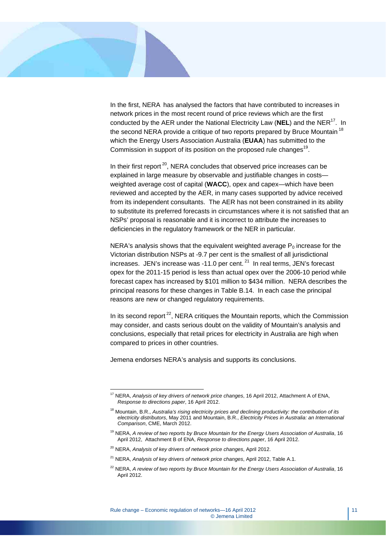

 $\overline{a}$ 

In the first, NERA has analysed the factors that have contributed to increases in network prices in the most recent round of price reviews which are the first conducted by the AER under the National Electricity Law (NEL) and the NER<sup>17</sup>. In the second NERA provide a critique of two reports prepared by Bruce Mountain <sup>18</sup> which the Energy Users Association Australia (**EUAA**) has submitted to the Commission in support of its position on the proposed rule changes<sup>19</sup>.

In their first report<sup>20</sup>, NERA concludes that observed price increases can be explained in large measure by observable and justifiable changes in costs weighted average cost of capital (**WACC**), opex and capex—which have been reviewed and accepted by the AER, in many cases supported by advice received from its independent consultants. The AER has not been constrained in its ability to substitute its preferred forecasts in circumstances where it is not satisfied that an NSPs' proposal is reasonable and it is incorrect to attribute the increases to deficiencies in the regulatory framework or the NER in particular.

NERA's analysis shows that the equivalent weighted average  $P_0$  increase for the Victorian distribution NSPs at -9.7 per cent is the smallest of all jurisdictional increases. JEN's increase was -11.0 per cent.  $21$  In real terms, JEN's forecast opex for the 2011-15 period is less than actual opex over the 2006-10 period while forecast capex has increased by \$101 million to \$434 million. NERA describes the principal reasons for these changes in Table B.14. In each case the principal reasons are new or changed regulatory requirements.

In its second report  $22$ , NERA critiques the Mountain reports, which the Commission may consider, and casts serious doubt on the validity of Mountain's analysis and conclusions, especially that retail prices for electricity in Australia are high when compared to prices in other countries.

Jemena endorses NERA's analysis and supports its conclusions.

<sup>17</sup> NERA, *Analysis of key drivers of network price changes*, 16 April 2012, Attachment A of ENA, *Response to directions paper*, 16 April 2012.

<sup>&</sup>lt;sup>18</sup> Mountain, B.R., Australia's rising electricity prices and declining productivity: the contribution of its *electricity distributors*, May 2011 and Mountain, B.R., *Electricity Prices in Australia: an International Comparison*, CME, March 2012.

<sup>19</sup> NERA, *A review of two reports by Bruce Mountain for the Energy Users Association of Australia*, 16 April 2012, Attachment B of ENA, *Response to directions paper*, 16 April 2012.

<sup>20</sup> NERA, *Analysis of key drivers of network price changes*, April 2012.

<sup>21</sup> NERA, *Analysis of key drivers of network price changes*, April 2012, Table A.1.

<sup>&</sup>lt;sup>22</sup> NERA, A review of two reports by Bruce Mountain for the Energy Users Association of Australia, 16 April 2012.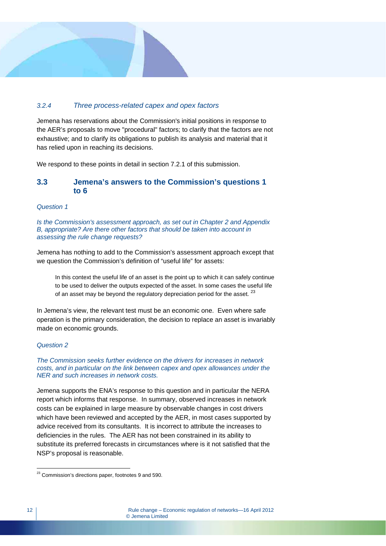## *3.2.4 Three process-related capex and opex factors*

Jemena has reservations about the Commission's initial positions in response to the AER's proposals to move "procedural" factors; to clarify that the factors are not exhaustive; and to clarify its obligations to publish its analysis and material that it has relied upon in reaching its decisions.

We respond to these points in detail in section 7.2.1 of this submission.

## **3.3 Jemena's answers to the Commission's questions 1 to 6**

#### *Question 1*

*Is the Commission's assessment approach, as set out in Chapter 2 and Appendix B, appropriate? Are there other factors that should be taken into account in assessing the rule change requests?* 

Jemena has nothing to add to the Commission's assessment approach except that we question the Commission's definition of "useful life" for assets:

In this context the useful life of an asset is the point up to which it can safely continue to be used to deliver the outputs expected of the asset. In some cases the useful life of an asset may be beyond the regulatory depreciation period for the asset.  $^{23}$ 

In Jemena's view, the relevant test must be an economic one. Even where safe operation is the primary consideration, the decision to replace an asset is invariably made on economic grounds.

#### *Question 2*

#### *The Commission seeks further evidence on the drivers for increases in network costs, and in particular on the link between capex and opex allowances under the NER and such increases in network costs.*

Jemena supports the ENA's response to this question and in particular the NERA report which informs that response. In summary, observed increases in network costs can be explained in large measure by observable changes in cost drivers which have been reviewed and accepted by the AER, in most cases supported by advice received from its consultants. It is incorrect to attribute the increases to deficiencies in the rules. The AER has not been constrained in its ability to substitute its preferred forecasts in circumstances where is it not satisfied that the NSP's proposal is reasonable.

 $^{23}$  Commission's directions paper, footnotes 9 and 590.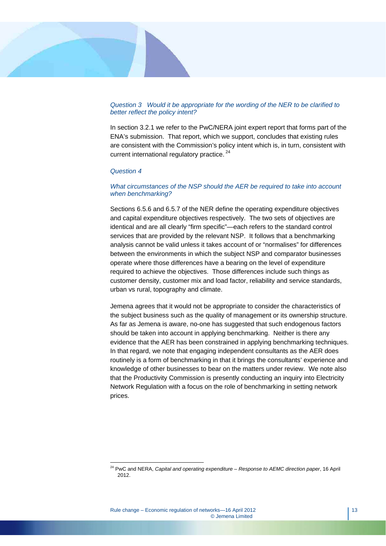#### *Question 3 Would it be appropriate for the wording of the NER to be clarified to better reflect the policy intent?*

In section 3.2.1 we refer to the PwC/NERA joint expert report that forms part of the ENA's submission. That report, which we support, concludes that existing rules are consistent with the Commission's policy intent which is, in turn, consistent with current international regulatory practice.<sup>24</sup>

#### *Question 4*

 $\overline{a}$ 

#### *What circumstances of the NSP should the AER be required to take into account when benchmarking?*

Sections 6.5.6 and 6.5.7 of the NER define the operating expenditure objectives and capital expenditure objectives respectively. The two sets of objectives are identical and are all clearly "firm specific"—each refers to the standard control services that are provided by the relevant NSP. It follows that a benchmarking analysis cannot be valid unless it takes account of or "normalises" for differences between the environments in which the subject NSP and comparator businesses operate where those differences have a bearing on the level of expenditure required to achieve the objectives. Those differences include such things as customer density, customer mix and load factor, reliability and service standards, urban vs rural, topography and climate.

Jemena agrees that it would not be appropriate to consider the characteristics of the subject business such as the quality of management or its ownership structure. As far as Jemena is aware, no-one has suggested that such endogenous factors should be taken into account in applying benchmarking. Neither is there any evidence that the AER has been constrained in applying benchmarking techniques. In that regard, we note that engaging independent consultants as the AER does routinely is a form of benchmarking in that it brings the consultants' experience and knowledge of other businesses to bear on the matters under review. We note also that the Productivity Commission is presently conducting an inquiry into Electricity Network Regulation with a focus on the role of benchmarking in setting network prices.

<sup>24</sup> PwC and NERA, *Capital and operating expenditure – Response to AEMC direction paper*, 16 April 2012.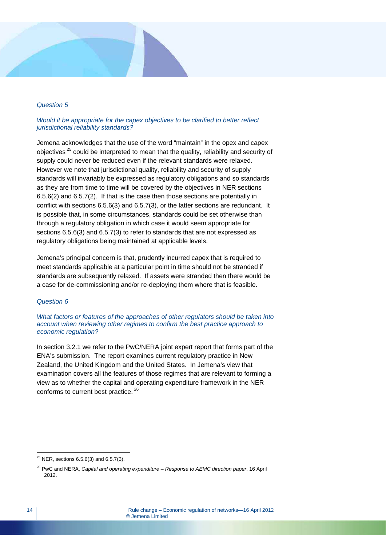#### *Question 5*

#### *Would it be appropriate for the capex objectives to be clarified to better reflect jurisdictional reliability standards?*

Jemena acknowledges that the use of the word "maintain" in the opex and capex objectives<sup>25</sup> could be interpreted to mean that the quality, reliability and security of supply could never be reduced even if the relevant standards were relaxed. However we note that jurisdictional quality, reliability and security of supply standards will invariably be expressed as regulatory obligations and so standards as they are from time to time will be covered by the objectives in NER sections 6.5.6(2) and 6.5.7(2). If that is the case then those sections are potentially in conflict with sections 6.5.6(3) and 6.5.7(3), or the latter sections are redundant. It is possible that, in some circumstances, standards could be set otherwise than through a regulatory obligation in which case it would seem appropriate for sections 6.5.6(3) and 6.5.7(3) to refer to standards that are not expressed as regulatory obligations being maintained at applicable levels.

Jemena's principal concern is that, prudently incurred capex that is required to meet standards applicable at a particular point in time should not be stranded if standards are subsequently relaxed. If assets were stranded then there would be a case for de-commissioning and/or re-deploying them where that is feasible.

#### *Question 6*

*What factors or features of the approaches of other regulators should be taken into account when reviewing other regimes to confirm the best practice approach to economic regulation?* 

In section 3.2.1 we refer to the PwC/NERA joint expert report that forms part of the ENA's submission. The report examines current regulatory practice in New Zealand, the United Kingdom and the United States. In Jemena's view that examination covers all the features of those regimes that are relevant to forming a view as to whether the capital and operating expenditure framework in the NER conforms to current best practice.<sup>26</sup>

 $^{25}$  NER, sections 6.5.6(3) and 6.5.7(3).

<sup>26</sup> PwC and NERA, *Capital and operating expenditure – Response to AEMC direction paper*, 16 April 2012.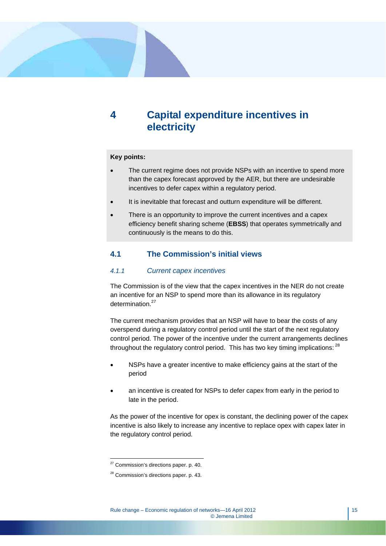## **4 Capital expenditure incentives in electricity**

#### **Key points:**

- The current regime does not provide NSPs with an incentive to spend more than the capex forecast approved by the AER, but there are undesirable incentives to defer capex within a regulatory period.
- It is inevitable that forecast and outturn expenditure will be different.
- There is an opportunity to improve the current incentives and a capex efficiency benefit sharing scheme (**EBSS**) that operates symmetrically and continuously is the means to do this.

## **4.1 The Commission's initial views**

## *4.1.1 Current capex incentives*

The Commission is of the view that the capex incentives in the NER do not create an incentive for an NSP to spend more than its allowance in its regulatory determination<sup>27</sup>

The current mechanism provides that an NSP will have to bear the costs of any overspend during a regulatory control period until the start of the next regulatory control period. The power of the incentive under the current arrangements declines throughout the regulatory control period. This has two key timing implications: <sup>28</sup>

- NSPs have a greater incentive to make efficiency gains at the start of the period
- an incentive is created for NSPs to defer capex from early in the period to late in the period.

As the power of the incentive for opex is constant, the declining power of the capex incentive is also likely to increase any incentive to replace opex with capex later in the regulatory control period.

 $\overline{a}$  $27$  Commission's directions paper. p. 40.

<sup>28</sup> Commission's directions paper. p. 43.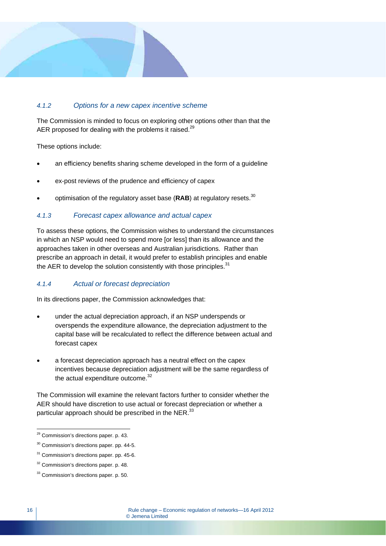## *4.1.2 Options for a new capex incentive scheme*

The Commission is minded to focus on exploring other options other than that the AER proposed for dealing with the problems it raised.<sup>29</sup>

These options include:

- an efficiency benefits sharing scheme developed in the form of a quideline
- ex-post reviews of the prudence and efficiency of capex
- optimisation of the regulatory asset base (RAB) at regulatory resets.<sup>30</sup>

## *4.1.3 Forecast capex allowance and actual capex*

To assess these options, the Commission wishes to understand the circumstances in which an NSP would need to spend more [or less] than its allowance and the approaches taken in other overseas and Australian jurisdictions. Rather than prescribe an approach in detail, it would prefer to establish principles and enable the AER to develop the solution consistently with those principles. $31$ 

## *4.1.4 Actual or forecast depreciation*

In its directions paper, the Commission acknowledges that:

- under the actual depreciation approach, if an NSP underspends or overspends the expenditure allowance, the depreciation adjustment to the capital base will be recalculated to reflect the difference between actual and forecast capex
- a forecast depreciation approach has a neutral effect on the capex incentives because depreciation adjustment will be the same regardless of the actual expenditure outcome.<sup>32</sup>

The Commission will examine the relevant factors further to consider whether the AER should have discretion to use actual or forecast depreciation or whether a particular approach should be prescribed in the NER.<sup>33</sup>

 $\overline{a}$ <sup>29</sup> Commission's directions paper. p. 43.

<sup>&</sup>lt;sup>30</sup> Commission's directions paper. pp. 44-5.

<sup>&</sup>lt;sup>31</sup> Commission's directions paper. pp. 45-6.

<sup>&</sup>lt;sup>32</sup> Commission's directions paper. p. 48.

<sup>&</sup>lt;sup>33</sup> Commission's directions paper. p. 50.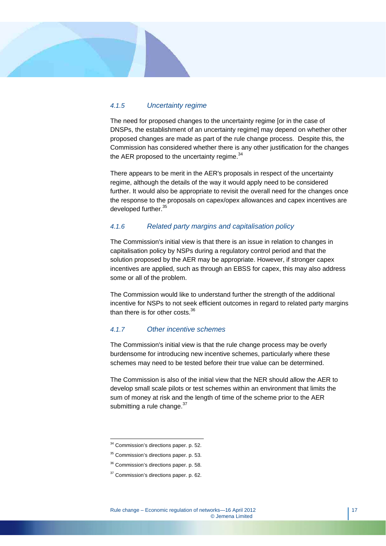## *4.1.5 Uncertainty regime*

The need for proposed changes to the uncertainty regime [or in the case of DNSPs, the establishment of an uncertainty regime] may depend on whether other proposed changes are made as part of the rule change process. Despite this, the Commission has considered whether there is any other justification for the changes the AER proposed to the uncertainty regime.<sup>34</sup>

There appears to be merit in the AER's proposals in respect of the uncertainty regime, although the details of the way it would apply need to be considered further. It would also be appropriate to revisit the overall need for the changes once the response to the proposals on capex/opex allowances and capex incentives are developed further.<sup>35</sup>

## *4.1.6 Related party margins and capitalisation policy*

The Commission's initial view is that there is an issue in relation to changes in capitalisation policy by NSPs during a regulatory control period and that the solution proposed by the AER may be appropriate. However, if stronger capex incentives are applied, such as through an EBSS for capex, this may also address some or all of the problem.

The Commission would like to understand further the strength of the additional incentive for NSPs to not seek efficient outcomes in regard to related party margins than there is for other costs.<sup>36</sup>

## *4.1.7 Other incentive schemes*

The Commission's initial view is that the rule change process may be overly burdensome for introducing new incentive schemes, particularly where these schemes may need to be tested before their true value can be determined.

The Commission is also of the initial view that the NER should allow the AER to develop small scale pilots or test schemes within an environment that limits the sum of money at risk and the length of time of the scheme prior to the AER submitting a rule change. $37$ 

 $\overline{a}$ 34 Commission's directions paper. p. 52.

<sup>&</sup>lt;sup>35</sup> Commission's directions paper. p. 53.

<sup>&</sup>lt;sup>36</sup> Commission's directions paper. p. 58.

<sup>&</sup>lt;sup>37</sup> Commission's directions paper. p. 62.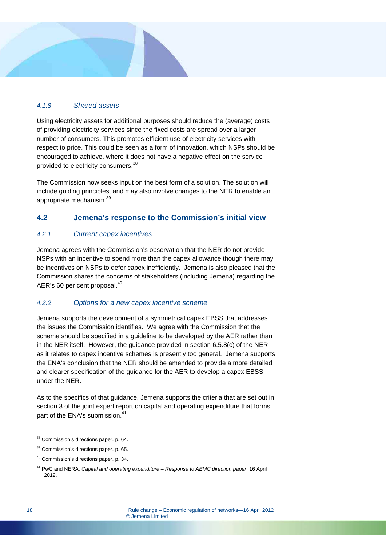## *4.1.8 Shared assets*

Using electricity assets for additional purposes should reduce the (average) costs of providing electricity services since the fixed costs are spread over a larger number of consumers. This promotes efficient use of electricity services with respect to price. This could be seen as a form of innovation, which NSPs should be encouraged to achieve, where it does not have a negative effect on the service provided to electricity consumers.38

The Commission now seeks input on the best form of a solution. The solution will include guiding principles, and may also involve changes to the NER to enable an appropriate mechanism.39

## **4.2 Jemena's response to the Commission's initial view**

## *4.2.1 Current capex incentives*

Jemena agrees with the Commission's observation that the NER do not provide NSPs with an incentive to spend more than the capex allowance though there may be incentives on NSPs to defer capex inefficiently. Jemena is also pleased that the Commission shares the concerns of stakeholders (including Jemena) regarding the AER's 60 per cent proposal.<sup>40</sup>

## *4.2.2 Options for a new capex incentive scheme*

Jemena supports the development of a symmetrical capex EBSS that addresses the issues the Commission identifies. We agree with the Commission that the scheme should be specified in a guideline to be developed by the AER rather than in the NER itself. However, the guidance provided in section 6.5.8(c) of the NER as it relates to capex incentive schemes is presently too general. Jemena supports the ENA's conclusion that the NER should be amended to provide a more detailed and clearer specification of the guidance for the AER to develop a capex EBSS under the NER.

As to the specifics of that guidance, Jemena supports the criteria that are set out in section 3 of the joint expert report on capital and operating expenditure that forms part of the ENA's submission.<sup>41</sup>

<sup>&</sup>lt;sup>38</sup> Commission's directions paper. p. 64.

<sup>&</sup>lt;sup>39</sup> Commission's directions paper. p. 65.

<sup>40</sup> Commission's directions paper. p. 34.

<sup>41</sup> PwC and NERA, *Capital and operating expenditure – Response to AEMC direction paper*, 16 April 2012.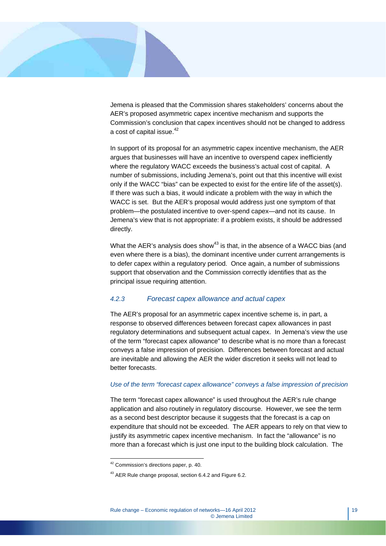

Jemena is pleased that the Commission shares stakeholders' concerns about the AER's proposed asymmetric capex incentive mechanism and supports the Commission's conclusion that capex incentives should not be changed to address a cost of capital issue.<sup>42</sup>

In support of its proposal for an asymmetric capex incentive mechanism, the AER argues that businesses will have an incentive to overspend capex inefficiently where the regulatory WACC exceeds the business's actual cost of capital. A number of submissions, including Jemena's, point out that this incentive will exist only if the WACC "bias" can be expected to exist for the entire life of the asset(s). If there was such a bias, it would indicate a problem with the way in which the WACC is set. But the AER's proposal would address just one symptom of that problem—the postulated incentive to over-spend capex—and not its cause. In Jemena's view that is not appropriate: if a problem exists, it should be addressed directly.

What the AER's analysis does show<sup>43</sup> is that, in the absence of a WACC bias (and even where there is a bias), the dominant incentive under current arrangements is to defer capex within a regulatory period. Once again, a number of submissions support that observation and the Commission correctly identifies that as the principal issue requiring attention.

## *4.2.3 Forecast capex allowance and actual capex*

The AER's proposal for an asymmetric capex incentive scheme is, in part, a response to observed differences between forecast capex allowances in past regulatory determinations and subsequent actual capex. In Jemena's view the use of the term "forecast capex allowance" to describe what is no more than a forecast conveys a false impression of precision. Differences between forecast and actual are inevitable and allowing the AER the wider discretion it seeks will not lead to better forecasts.

#### *Use of the term "forecast capex allowance" conveys a false impression of precision*

The term "forecast capex allowance" is used throughout the AER's rule change application and also routinely in regulatory discourse. However, we see the term as a second best descriptor because it suggests that the forecast is a cap on expenditure that should not be exceeded. The AER appears to rely on that view to justify its asymmetric capex incentive mechanism. In fact the "allowance" is no more than a forecast which is just one input to the building block calculation. The

 $42$  Commission's directions paper, p. 40.

<sup>43</sup> AER Rule change proposal, section 6.4.2 and Figure 6.2.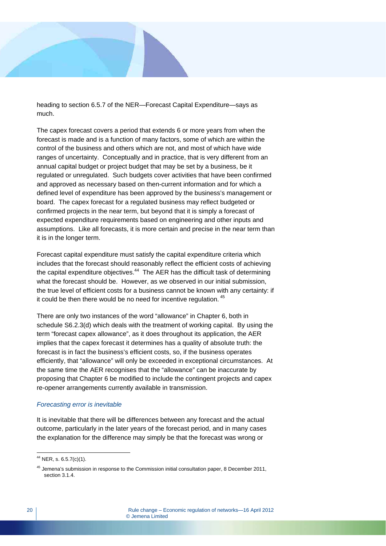heading to section 6.5.7 of the NER—Forecast Capital Expenditure—says as much.

The capex forecast covers a period that extends 6 or more years from when the forecast is made and is a function of many factors, some of which are within the control of the business and others which are not, and most of which have wide ranges of uncertainty. Conceptually and in practice, that is very different from an annual capital budget or project budget that may be set by a business, be it regulated or unregulated. Such budgets cover activities that have been confirmed and approved as necessary based on then-current information and for which a defined level of expenditure has been approved by the business's management or board. The capex forecast for a regulated business may reflect budgeted or confirmed projects in the near term, but beyond that it is simply a forecast of expected expenditure requirements based on engineering and other inputs and assumptions. Like all forecasts, it is more certain and precise in the near term than it is in the longer term.

Forecast capital expenditure must satisfy the capital expenditure criteria which includes that the forecast should reasonably reflect the efficient costs of achieving the capital expenditure objectives. $44$  The AER has the difficult task of determining what the forecast should be. However, as we observed in our initial submission, the true level of efficient costs for a business cannot be known with any certainty: if it could be then there would be no need for incentive regulation.<sup>45</sup>

There are only two instances of the word "allowance" in Chapter 6, both in schedule S6.2.3(d) which deals with the treatment of working capital. By using the term "forecast capex allowance", as it does throughout its application, the AER implies that the capex forecast it determines has a quality of absolute truth: the forecast is in fact the business's efficient costs, so, if the business operates efficiently, that "allowance" will only be exceeded in exceptional circumstances. At the same time the AER recognises that the "allowance" can be inaccurate by proposing that Chapter 6 be modified to include the contingent projects and capex re-opener arrangements currently available in transmission.

#### *Forecasting error is inevitable*

It is inevitable that there will be differences between any forecast and the actual outcome, particularly in the later years of the forecast period, and in many cases the explanation for the difference may simply be that the forecast was wrong or

 $44$  NER, s. 6.5.7(c)(1).

<sup>&</sup>lt;sup>45</sup> Jemena's submission in response to the Commission initial consultation paper, 8 December 2011, section 3.1.4.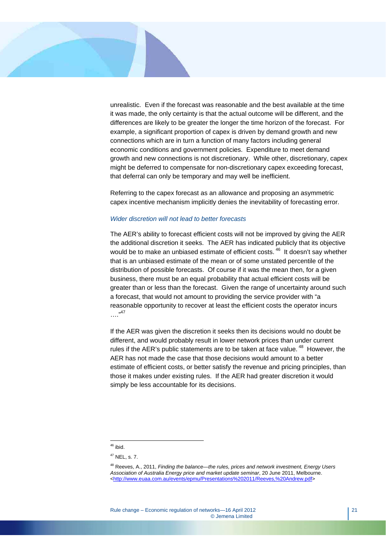

unrealistic. Even if the forecast was reasonable and the best available at the time it was made, the only certainty is that the actual outcome will be different, and the differences are likely to be greater the longer the time horizon of the forecast. For example, a significant proportion of capex is driven by demand growth and new connections which are in turn a function of many factors including general economic conditions and government policies. Expenditure to meet demand growth and new connections is not discretionary. While other, discretionary, capex might be deferred to compensate for non-discretionary capex exceeding forecast, that deferral can only be temporary and may well be inefficient.

Referring to the capex forecast as an allowance and proposing an asymmetric capex incentive mechanism implicitly denies the inevitability of forecasting error.

#### *Wider discretion will not lead to better forecasts*

The AER's ability to forecast efficient costs will not be improved by giving the AER the additional discretion it seeks. The AER has indicated publicly that its objective would be to make an unbiased estimate of efficient costs. <sup>46</sup> It doesn't say whether that is an unbiased estimate of the mean or of some unstated percentile of the distribution of possible forecasts. Of course if it was the mean then, for a given business, there must be an equal probability that actual efficient costs will be greater than or less than the forecast. Given the range of uncertainty around such a forecast, that would not amount to providing the service provider with "a reasonable opportunity to recover at least the efficient costs the operator incurs …."47

If the AER was given the discretion it seeks then its decisions would no doubt be different, and would probably result in lower network prices than under current rules if the AER's public statements are to be taken at face value. <sup>48</sup> However, the AER has not made the case that those decisions would amount to a better estimate of efficient costs, or better satisfy the revenue and pricing principles, than those it makes under existing rules. If the AER had greater discretion it would simply be less accountable for its decisions.

 $46$  ibid.

 $47$  NEL, s. 7.

<sup>48</sup> Reeves, A., 2011, *Finding the balance—the rules, prices and network investment, Energy Users Association of Australia Energy price and market update seminar*, 20 June 2011, Melbourne. <http://www.euaa.com.au/events/epmu/Presentations%202011/Reeves,%20Andrew.pdf>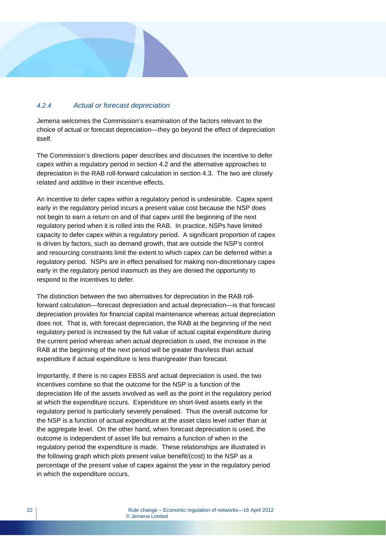## *4.2.4 Actual or forecast depreciation*

Jemena welcomes the Commission's examination of the factors relevant to the choice of actual or forecast depreciation—they go beyond the effect of depreciation itself.

The Commission's directions paper describes and discusses the incentive to defer capex within a regulatory period in section 4.2 and the alternative approaches to depreciation in the RAB roll-forward calculation in section 4.3. The two are closely related and additive in their incentive effects.

An incentive to defer capex within a regulatory period is undesirable. Capex spent early in the regulatory period incurs a present value cost because the NSP does not begin to earn a return on and of that capex until the beginning of the next regulatory period when it is rolled into the RAB. In practice, NSPs have limited capacity to defer capex within a regulatory period. A significant proportion of capex is driven by factors, such as demand growth, that are outside the NSP's control and resourcing constraints limit the extent to which capex can be deferred within a regulatory period. NSPs are in effect penalised for making non-discretionary capex early in the regulatory period inasmuch as they are denied the opportunity to respond to the incentives to defer.

The distinction between the two alternatives for depreciation in the RAB rollforward calculation—forecast depreciation and actual depreciation—is that forecast depreciation provides for financial capital maintenance whereas actual depreciation does not. That is, with forecast depreciation, the RAB at the beginning of the next regulatory period is increased by the full value of actual capital expenditure during the current period whereas when actual depreciation is used, the increase in the RAB at the beginning of the next period will be greater than/less than actual expenditure if actual expenditure is less than/greater than forecast.

Importantly, if there is no capex EBSS and actual depreciation is used, the two incentives combine so that the outcome for the NSP is a function of the depreciation life of the assets involved as well as the point in the regulatory period at which the expenditure occurs. Expenditure on short-lived assets early in the regulatory period is particularly severely penalised. Thus the overall outcome for the NSP is a function of actual expenditure at the asset class level rather than at the aggregate level. On the other hand, when forecast depreciation is used, the outcome is independent of asset life but remains a function of when in the regulatory period the expenditure is made. These relationships are illustrated in the following graph which plots present value benefit/(cost) to the NSP as a percentage of the present value of capex against the year in the regulatory period in which the expenditure occurs.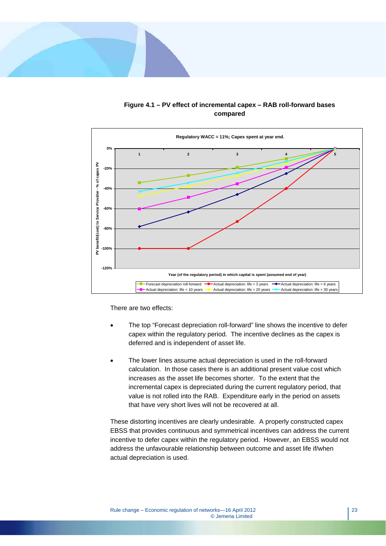



**Figure 4.1 – PV effect of incremental capex – RAB roll-forward bases compared** 

There are two effects:

- The top "Forecast depreciation roll-forward" line shows the incentive to defer capex within the regulatory period. The incentive declines as the capex is deferred and is independent of asset life.
- The lower lines assume actual depreciation is used in the roll-forward calculation. In those cases there is an additional present value cost which increases as the asset life becomes shorter. To the extent that the incremental capex is depreciated during the current regulatory period, that value is not rolled into the RAB. Expenditure early in the period on assets that have very short lives will not be recovered at all.

These distorting incentives are clearly undesirable. A properly constructed capex EBSS that provides continuous and symmetrical incentives can address the current incentive to defer capex within the regulatory period. However, an EBSS would not address the unfavourable relationship between outcome and asset life if/when actual depreciation is used.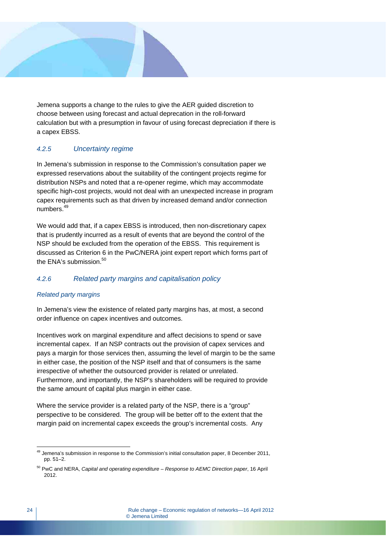Jemena supports a change to the rules to give the AER guided discretion to choose between using forecast and actual deprecation in the roll-forward calculation but with a presumption in favour of using forecast depreciation if there is a capex EBSS.

## *4.2.5 Uncertainty regime*

In Jemena's submission in response to the Commission's consultation paper we expressed reservations about the suitability of the contingent projects regime for distribution NSPs and noted that a re-opener regime, which may accommodate specific high-cost projects, would not deal with an unexpected increase in program capex requirements such as that driven by increased demand and/or connection numbers.49

We would add that, if a capex EBSS is introduced, then non-discretionary capex that is prudently incurred as a result of events that are beyond the control of the NSP should be excluded from the operation of the EBSS. This requirement is discussed as Criterion 6 in the PwC/NERA joint expert report which forms part of the ENA's submission.<sup>50</sup>

## *4.2.6 Related party margins and capitalisation policy*

## *Related party margins*

In Jemena's view the existence of related party margins has, at most, a second order influence on capex incentives and outcomes.

Incentives work on marginal expenditure and affect decisions to spend or save incremental capex. If an NSP contracts out the provision of capex services and pays a margin for those services then, assuming the level of margin to be the same in either case, the position of the NSP itself and that of consumers is the same irrespective of whether the outsourced provider is related or unrelated. Furthermore, and importantly, the NSP's shareholders will be required to provide the same amount of capital plus margin in either case.

Where the service provider is a related party of the NSP, there is a "group" perspective to be considered. The group will be better off to the extent that the margin paid on incremental capex exceeds the group's incremental costs. Any

 $\overline{a}$  $49$  Jemena's submission in response to the Commission's initial consultation paper, 8 December 2011, pp. 51–2.

<sup>50</sup> PwC and NERA, *Capital and operating expenditure – Response to AEMC Direction paper*, 16 April 2012.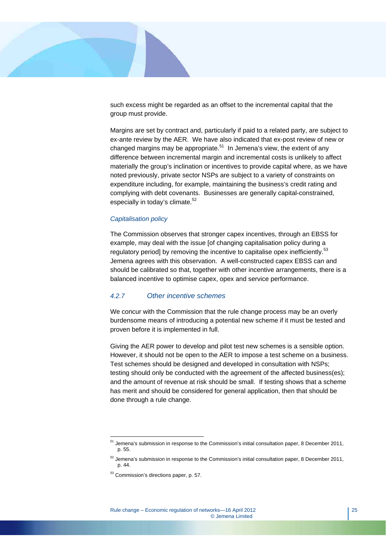

such excess might be regarded as an offset to the incremental capital that the group must provide.

Margins are set by contract and, particularly if paid to a related party, are subject to ex-ante review by the AER. We have also indicated that ex-post review of new or changed margins may be appropriate.<sup>51</sup> In Jemena's view, the extent of any difference between incremental margin and incremental costs is unlikely to affect materially the group's inclination or incentives to provide capital where, as we have noted previously, private sector NSPs are subject to a variety of constraints on expenditure including, for example, maintaining the business's credit rating and complying with debt covenants. Businesses are generally capital-constrained, especially in today's climate.<sup>52</sup>

#### *Capitalisation policy*

The Commission observes that stronger capex incentives, through an EBSS for example, may deal with the issue [of changing capitalisation policy during a regulatory period] by removing the incentive to capitalise opex inefficiently.<sup>53</sup> Jemena agrees with this observation. A well-constructed capex EBSS can and should be calibrated so that, together with other incentive arrangements, there is a balanced incentive to optimise capex, opex and service performance.

## *4.2.7 Other incentive schemes*

We concur with the Commission that the rule change process may be an overly burdensome means of introducing a potential new scheme if it must be tested and proven before it is implemented in full.

Giving the AER power to develop and pilot test new schemes is a sensible option. However, it should not be open to the AER to impose a test scheme on a business. Test schemes should be designed and developed in consultation with NSPs; testing should only be conducted with the agreement of the affected business(es); and the amount of revenue at risk should be small. If testing shows that a scheme has merit and should be considered for general application, then that should be done through a rule change.

 $51$  Jemena's submission in response to the Commission's initial consultation paper, 8 December 2011, p. 55.

 $52$  Jemena's submission in response to the Commission's initial consultation paper, 8 December 2011, p. 44.

<sup>53</sup> Commission's directions paper, p. 57.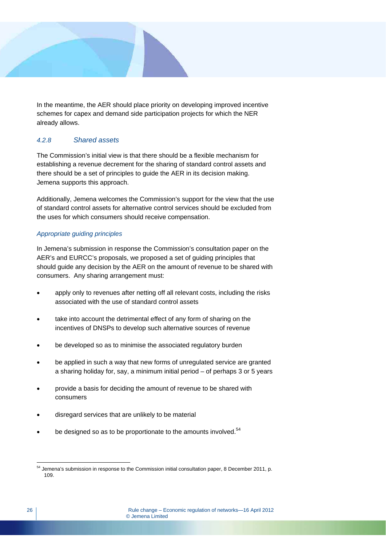

In the meantime, the AER should place priority on developing improved incentive schemes for capex and demand side participation projects for which the NER already allows.

## *4.2.8 Shared assets*

The Commission's initial view is that there should be a flexible mechanism for establishing a revenue decrement for the sharing of standard control assets and there should be a set of principles to guide the AER in its decision making. Jemena supports this approach.

Additionally, Jemena welcomes the Commission's support for the view that the use of standard control assets for alternative control services should be excluded from the uses for which consumers should receive compensation.

## *Appropriate guiding principles*

In Jemena's submission in response the Commission's consultation paper on the AER's and EURCC's proposals, we proposed a set of guiding principles that should guide any decision by the AER on the amount of revenue to be shared with consumers. Any sharing arrangement must:

- apply only to revenues after netting off all relevant costs, including the risks associated with the use of standard control assets
- take into account the detrimental effect of any form of sharing on the incentives of DNSPs to develop such alternative sources of revenue
- be developed so as to minimise the associated regulatory burden
- be applied in such a way that new forms of unregulated service are granted a sharing holiday for, say, a minimum initial period – of perhaps 3 or 5 years
- provide a basis for deciding the amount of revenue to be shared with consumers
- disregard services that are unlikely to be material
- be designed so as to be proportionate to the amounts involved.<sup>54</sup>

 $\overline{a}$  $54$  Jemena's submission in response to the Commission initial consultation paper, 8 December 2011, p. 109.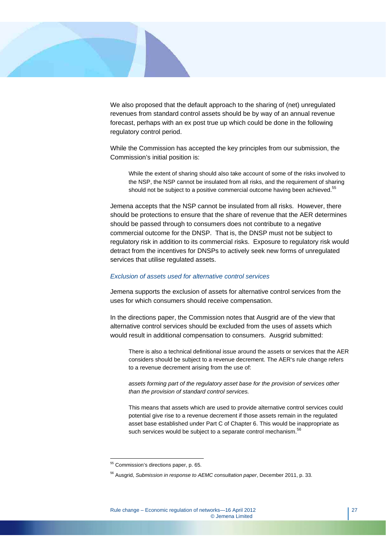

We also proposed that the default approach to the sharing of (net) unregulated revenues from standard control assets should be by way of an annual revenue forecast, perhaps with an ex post true up which could be done in the following regulatory control period.

While the Commission has accepted the key principles from our submission, the Commission's initial position is:

While the extent of sharing should also take account of some of the risks involved to the NSP, the NSP cannot be insulated from all risks, and the requirement of sharing should not be subject to a positive commercial outcome having been achieved.<sup>55</sup>

Jemena accepts that the NSP cannot be insulated from all risks. However, there should be protections to ensure that the share of revenue that the AER determines should be passed through to consumers does not contribute to a negative commercial outcome for the DNSP. That is, the DNSP must not be subject to regulatory risk in addition to its commercial risks. Exposure to regulatory risk would detract from the incentives for DNSPs to actively seek new forms of unregulated services that utilise regulated assets.

#### *Exclusion of assets used for alternative control services*

Jemena supports the exclusion of assets for alternative control services from the uses for which consumers should receive compensation.

In the directions paper, the Commission notes that Ausgrid are of the view that alternative control services should be excluded from the uses of assets which would result in additional compensation to consumers. Ausgrid submitted:

There is also a technical definitional issue around the assets or services that the AER considers should be subject to a revenue decrement. The AER's rule change refers to a revenue decrement arising from the use of:

*assets forming part of the regulatory asset base for the provision of services other than the provision of standard control services.* 

This means that assets which are used to provide alternative control services could potential give rise to a revenue decrement if those assets remain in the regulated asset base established under Part C of Chapter 6. This would be inappropriate as such services would be subject to a separate control mechanism.<sup>56</sup>

<sup>&</sup>lt;sup>55</sup> Commission's directions paper, p. 65.

<sup>56</sup> Ausgrid, *Submission in response to AEMC consultation paper*, December 2011, p. 33.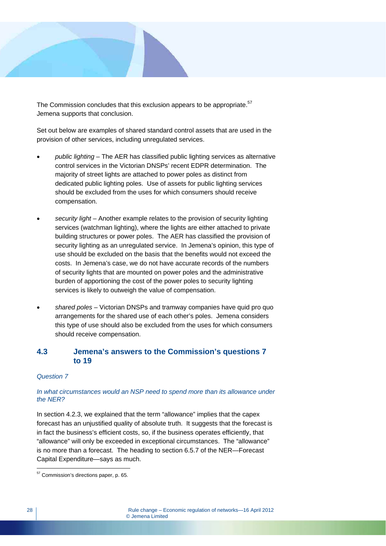

The Commission concludes that this exclusion appears to be appropriate.<sup>57</sup> Jemena supports that conclusion.

Set out below are examples of shared standard control assets that are used in the provision of other services, including unregulated services.

- *public lighting* The AER has classified public lighting services as alternative control services in the Victorian DNSPs' recent EDPR determination. The majority of street lights are attached to power poles as distinct from dedicated public lighting poles. Use of assets for public lighting services should be excluded from the uses for which consumers should receive compensation.
- *security light* Another example relates to the provision of security lighting services (watchman lighting), where the lights are either attached to private building structures or power poles. The AER has classified the provision of security lighting as an unregulated service. In Jemena's opinion, this type of use should be excluded on the basis that the benefits would not exceed the costs. In Jemena's case, we do not have accurate records of the numbers of security lights that are mounted on power poles and the administrative burden of apportioning the cost of the power poles to security lighting services is likely to outweigh the value of compensation.
- *shared poles* Victorian DNSPs and tramway companies have quid pro quo arrangements for the shared use of each other's poles. Jemena considers this type of use should also be excluded from the uses for which consumers should receive compensation.

## **4.3 Jemena's answers to the Commission's questions 7 to 19**

#### *Question 7*

## *In what circumstances would an NSP need to spend more than its allowance under the NER?*

In section 4.2.3, we explained that the term "allowance" implies that the capex forecast has an unjustified quality of absolute truth. It suggests that the forecast is in fact the business's efficient costs, so, if the business operates efficiently, that "allowance" will only be exceeded in exceptional circumstances. The "allowance" is no more than a forecast. The heading to section 6.5.7 of the NER—Forecast Capital Expenditure—says as much.

 $\overline{a}$ <sup>57</sup> Commission's directions paper, p. 65.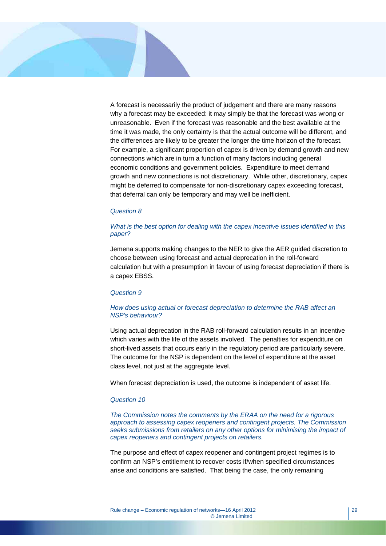

A forecast is necessarily the product of judgement and there are many reasons why a forecast may be exceeded: it may simply be that the forecast was wrong or unreasonable. Even if the forecast was reasonable and the best available at the time it was made, the only certainty is that the actual outcome will be different, and the differences are likely to be greater the longer the time horizon of the forecast. For example, a significant proportion of capex is driven by demand growth and new connections which are in turn a function of many factors including general economic conditions and government policies. Expenditure to meet demand growth and new connections is not discretionary. While other, discretionary, capex might be deferred to compensate for non-discretionary capex exceeding forecast, that deferral can only be temporary and may well be inefficient.

#### *Question 8*

#### *What is the best option for dealing with the capex incentive issues identified in this paper?*

Jemena supports making changes to the NER to give the AER guided discretion to choose between using forecast and actual deprecation in the roll-forward calculation but with a presumption in favour of using forecast depreciation if there is a capex EBSS.

#### *Question 9*

#### *How does using actual or forecast depreciation to determine the RAB affect an NSP's behaviour?*

Using actual deprecation in the RAB roll-forward calculation results in an incentive which varies with the life of the assets involved. The penalties for expenditure on short-lived assets that occurs early in the regulatory period are particularly severe. The outcome for the NSP is dependent on the level of expenditure at the asset class level, not just at the aggregate level.

When forecast depreciation is used, the outcome is independent of asset life.

#### *Question 10*

*The Commission notes the comments by the ERAA on the need for a rigorous approach to assessing capex reopeners and contingent projects. The Commission seeks submissions from retailers on any other options for minimising the impact of capex reopeners and contingent projects on retailers.* 

The purpose and effect of capex reopener and contingent project regimes is to confirm an NSP's entitlement to recover costs if/when specified circumstances arise and conditions are satisfied. That being the case, the only remaining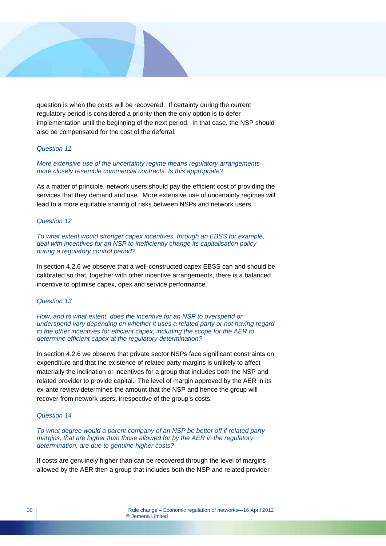

question is when the costs will be recovered. If certainty during the current regulatory period is considered a priority then the only option is to defer implementation until the beginning of the next period. In that case, the NSP should also be compensated for the cost of the deferral.

#### *Question 11*

*More extensive use of the uncertainty regime means regulatory arrangements more closely resemble commercial contracts. Is this appropriate?* 

As a matter of principle, network users should pay the efficient cost of providing the services that they demand and use. More extensive use of uncertainty regimes will lead to a more equitable sharing of risks between NSPs and network users.

#### *Question 12*

*To what extent would stronger capex incentives, through an EBSS for example, deal with incentives for an NSP to inefficiently change its capitalisation policy during a regulatory control period?* 

In section 4.2.6 we observe that a well-constructed capex EBSS can and should be calibrated so that, together with other incentive arrangements, there is a balanced incentive to optimise capex, opex and service performance.

#### *Question 13*

*How, and to what extent, does the incentive for an NSP to overspend or underspend vary depending on whether it uses a related party or not having regard to the other incentives for efficient capex, including the scope for the AER to determine efficient capex at the regulatory determination?* 

In section 4.2.6 we observe that private sector NSPs face significant constraints on expenditure and that the existence of related party margins is unlikely to affect materially the inclination or incentives for a group that includes both the NSP and related provider to provide capital. The level of margin approved by the AER in its ex-ante review determines the amount that the NSP and hence the group will recover from network users, irrespective of the group's costs.

#### *Question 14*

*To what degree would a parent company of an NSP be better off if related party margins, that are higher than those allowed for by the AER in the regulatory determination, are due to genuine higher costs?* 

If costs are genuinely higher than can be recovered through the level of margins allowed by the AER then a group that includes both the NSP and related provider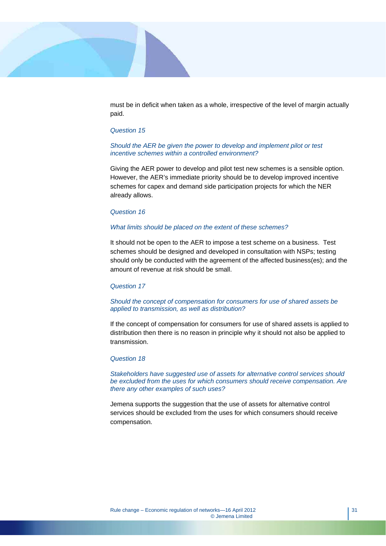

must be in deficit when taken as a whole, irrespective of the level of margin actually paid.

#### *Question 15*

#### *Should the AER be given the power to develop and implement pilot or test incentive schemes within a controlled environment?*

Giving the AER power to develop and pilot test new schemes is a sensible option. However, the AER's immediate priority should be to develop improved incentive schemes for capex and demand side participation projects for which the NER already allows.

#### *Question 16*

#### *What limits should be placed on the extent of these schemes?*

It should not be open to the AER to impose a test scheme on a business. Test schemes should be designed and developed in consultation with NSPs; testing should only be conducted with the agreement of the affected business(es); and the amount of revenue at risk should be small.

#### *Question 17*

#### *Should the concept of compensation for consumers for use of shared assets be applied to transmission, as well as distribution?*

If the concept of compensation for consumers for use of shared assets is applied to distribution then there is no reason in principle why it should not also be applied to transmission.

#### *Question 18*

*Stakeholders have suggested use of assets for alternative control services should be excluded from the uses for which consumers should receive compensation. Are there any other examples of such uses?* 

Jemena supports the suggestion that the use of assets for alternative control services should be excluded from the uses for which consumers should receive compensation.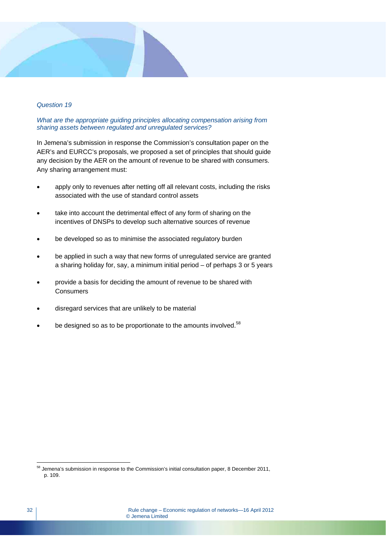#### *Question 19*

#### *What are the appropriate guiding principles allocating compensation arising from sharing assets between regulated and unregulated services?*

In Jemena's submission in response the Commission's consultation paper on the AER's and EURCC's proposals, we proposed a set of principles that should guide any decision by the AER on the amount of revenue to be shared with consumers. Any sharing arrangement must:

- apply only to revenues after netting off all relevant costs, including the risks associated with the use of standard control assets
- take into account the detrimental effect of any form of sharing on the incentives of DNSPs to develop such alternative sources of revenue
- be developed so as to minimise the associated regulatory burden
- be applied in such a way that new forms of unregulated service are granted a sharing holiday for, say, a minimum initial period – of perhaps 3 or 5 years
- provide a basis for deciding the amount of revenue to be shared with **Consumers**
- disregard services that are unlikely to be material
- be designed so as to be proportionate to the amounts involved.<sup>58</sup>

 $\overline{a}$  $58$  Jemena's submission in response to the Commission's initial consultation paper, 8 December 2011, p. 109.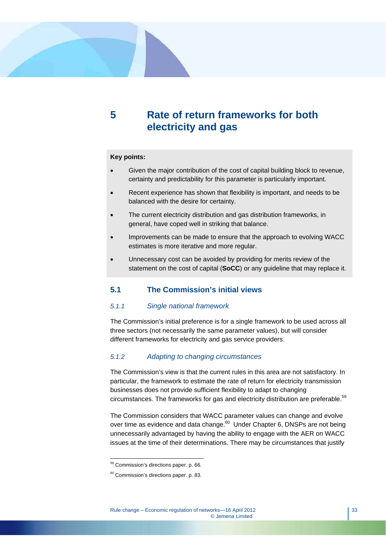## **5 Rate of return frameworks for both electricity and gas**

#### **Key points:**

- Given the major contribution of the cost of capital building block to revenue, certainty and predictability for this parameter is particularly important.
- Recent experience has shown that flexibility is important, and needs to be balanced with the desire for certainty.
- The current electricity distribution and gas distribution frameworks, in general, have coped well in striking that balance.
- Improvements can be made to ensure that the approach to evolving WACC estimates is more iterative and more regular.
- Unnecessary cost can be avoided by providing for merits review of the statement on the cost of capital (**SoCC**) or any guideline that may replace it.

## **5.1 The Commission's initial views**

#### *5.1.1 Single national framework*

The Commission's initial preference is for a single framework to be used across all three sectors (not necessarily the same parameter values), but will consider different frameworks for electricity and gas service providers.

## *5.1.2 Adapting to changing circumstances*

The Commission's view is that the current rules in this area are not satisfactory. In particular, the framework to estimate the rate of return for electricity transmission businesses does not provide sufficient flexibility to adapt to changing circumstances. The frameworks for gas and electricity distribution are preferable. $59$ 

The Commission considers that WACC parameter values can change and evolve over time as evidence and data change.<sup>60</sup> Under Chapter 6, DNSPs are not being unnecessarily advantaged by having the ability to engage with the AER on WACC issues at the time of their determinations. There may be circumstances that justify

 $\overline{a}$ <sup>59</sup> Commission's directions paper. p. 66.

<sup>60</sup> Commission's directions paper. p. 83.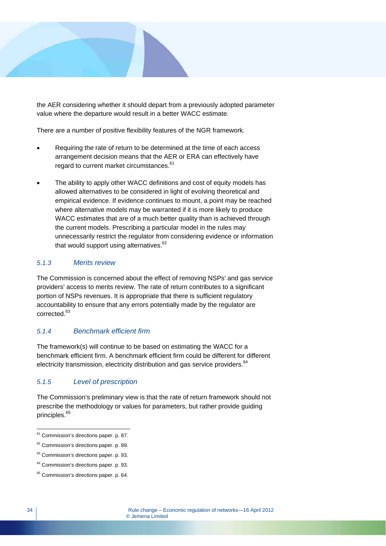

the AER considering whether it should depart from a previously adopted parameter value where the departure would result in a better WACC estimate.

There are a number of positive flexibility features of the NGR framework.

- Requiring the rate of return to be determined at the time of each access arrangement decision means that the AER or ERA can effectively have regard to current market circumstances.<sup>61</sup>
- The ability to apply other WACC definitions and cost of equity models has allowed alternatives to be considered in light of evolving theoretical and empirical evidence. If evidence continues to mount, a point may be reached where alternative models may be warranted if it is more likely to produce WACC estimates that are of a much better quality than is achieved through the current models. Prescribing a particular model in the rules may unnecessarily restrict the regulator from considering evidence or information that would support using alternatives. $62$

## *5.1.3 Merits review*

The Commission is concerned about the effect of removing NSPs' and gas service providers' access to merits review. The rate of return contributes to a significant portion of NSPs revenues. It is appropriate that there is sufficient regulatory accountability to ensure that any errors potentially made by the regulator are corrected.<sup>63</sup>

## *5.1.4 Benchmark efficient firm*

The framework(s) will continue to be based on estimating the WACC for a benchmark efficient firm. A benchmark efficient firm could be different for different electricity transmission, electricity distribution and gas service providers.<sup>64</sup>

## *5.1.5 Level of prescription*

The Commission's preliminary view is that the rate of return framework should not prescribe the methodology or values for parameters, but rather provide guiding principles.<sup>65</sup>

<sup>&</sup>lt;sup>61</sup> Commission's directions paper. p. 87.

<sup>62</sup> Commission's directions paper. p. 89.

<sup>&</sup>lt;sup>63</sup> Commission's directions paper. p. 93.

<sup>&</sup>lt;sup>64</sup> Commission's directions paper. p. 93.

<sup>&</sup>lt;sup>65</sup> Commission's directions paper. p. 64.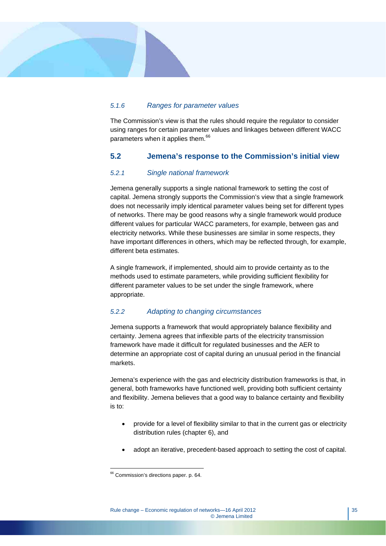## *5.1.6 Ranges for parameter values*

The Commission's view is that the rules should require the regulator to consider using ranges for certain parameter values and linkages between different WACC parameters when it applies them.<sup>66</sup>

## **5.2 Jemena's response to the Commission's initial view**

## *5.2.1 Single national framework*

Jemena generally supports a single national framework to setting the cost of capital. Jemena strongly supports the Commission's view that a single framework does not necessarily imply identical parameter values being set for different types of networks. There may be good reasons why a single framework would produce different values for particular WACC parameters, for example, between gas and electricity networks. While these businesses are similar in some respects, they have important differences in others, which may be reflected through, for example, different beta estimates.

A single framework, if implemented, should aim to provide certainty as to the methods used to estimate parameters, while providing sufficient flexibility for different parameter values to be set under the single framework, where appropriate.

## *5.2.2 Adapting to changing circumstances*

Jemena supports a framework that would appropriately balance flexibility and certainty. Jemena agrees that inflexible parts of the electricity transmission framework have made it difficult for regulated businesses and the AER to determine an appropriate cost of capital during an unusual period in the financial markets.

Jemena's experience with the gas and electricity distribution frameworks is that, in general, both frameworks have functioned well, providing both sufficient certainty and flexibility. Jemena believes that a good way to balance certainty and flexibility is to:

- provide for a level of flexibility similar to that in the current gas or electricity distribution rules (chapter 6), and
- adopt an iterative, precedent-based approach to setting the cost of capital.

 $\overline{a}$ <sup>66</sup> Commission's directions paper. p. 64.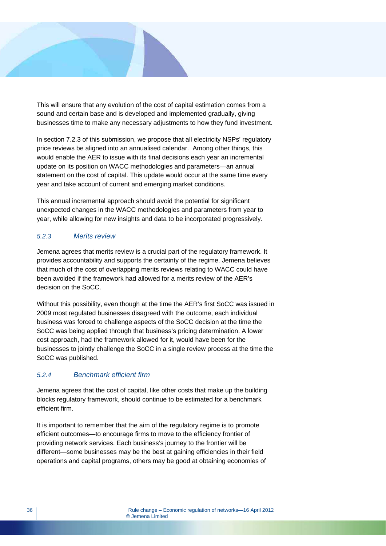

This will ensure that any evolution of the cost of capital estimation comes from a sound and certain base and is developed and implemented gradually, giving businesses time to make any necessary adjustments to how they fund investment.

In section 7.2.3 of this submission, we propose that all electricity NSPs' regulatory price reviews be aligned into an annualised calendar. Among other things, this would enable the AER to issue with its final decisions each year an incremental update on its position on WACC methodologies and parameters—an annual statement on the cost of capital. This update would occur at the same time every year and take account of current and emerging market conditions.

This annual incremental approach should avoid the potential for significant unexpected changes in the WACC methodologies and parameters from year to year, while allowing for new insights and data to be incorporated progressively.

## *5.2.3 Merits review*

Jemena agrees that merits review is a crucial part of the regulatory framework. It provides accountability and supports the certainty of the regime. Jemena believes that much of the cost of overlapping merits reviews relating to WACC could have been avoided if the framework had allowed for a merits review of the AER's decision on the SoCC.

Without this possibility, even though at the time the AER's first SoCC was issued in 2009 most regulated businesses disagreed with the outcome, each individual business was forced to challenge aspects of the SoCC decision at the time the SoCC was being applied through that business's pricing determination. A lower cost approach, had the framework allowed for it, would have been for the businesses to jointly challenge the SoCC in a single review process at the time the SoCC was published.

## *5.2.4 Benchmark efficient firm*

Jemena agrees that the cost of capital, like other costs that make up the building blocks regulatory framework, should continue to be estimated for a benchmark efficient firm.

It is important to remember that the aim of the regulatory regime is to promote efficient outcomes—to encourage firms to move to the efficiency frontier of providing network services. Each business's journey to the frontier will be different—some businesses may be the best at gaining efficiencies in their field operations and capital programs, others may be good at obtaining economies of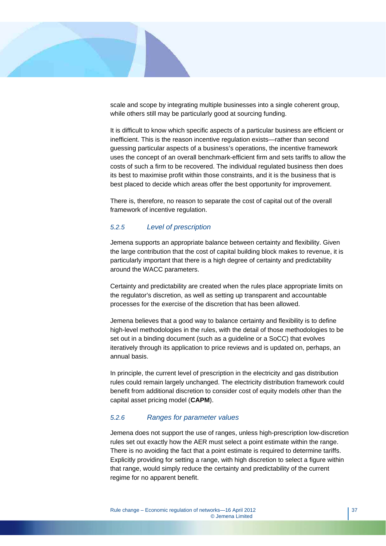

scale and scope by integrating multiple businesses into a single coherent group, while others still may be particularly good at sourcing funding.

It is difficult to know which specific aspects of a particular business are efficient or inefficient. This is the reason incentive regulation exists—rather than second guessing particular aspects of a business's operations, the incentive framework uses the concept of an overall benchmark-efficient firm and sets tariffs to allow the costs of such a firm to be recovered. The individual regulated business then does its best to maximise profit within those constraints, and it is the business that is best placed to decide which areas offer the best opportunity for improvement.

There is, therefore, no reason to separate the cost of capital out of the overall framework of incentive regulation.

## *5.2.5 Level of prescription*

Jemena supports an appropriate balance between certainty and flexibility. Given the large contribution that the cost of capital building block makes to revenue, it is particularly important that there is a high degree of certainty and predictability around the WACC parameters.

Certainty and predictability are created when the rules place appropriate limits on the regulator's discretion, as well as setting up transparent and accountable processes for the exercise of the discretion that has been allowed.

Jemena believes that a good way to balance certainty and flexibility is to define high-level methodologies in the rules, with the detail of those methodologies to be set out in a binding document (such as a guideline or a SoCC) that evolves iteratively through its application to price reviews and is updated on, perhaps, an annual basis.

In principle, the current level of prescription in the electricity and gas distribution rules could remain largely unchanged. The electricity distribution framework could benefit from additional discretion to consider cost of equity models other than the capital asset pricing model (**CAPM**).

#### *5.2.6 Ranges for parameter values*

Jemena does not support the use of ranges, unless high-prescription low-discretion rules set out exactly how the AER must select a point estimate within the range. There is no avoiding the fact that a point estimate is required to determine tariffs. Explicitly providing for setting a range, with high discretion to select a figure within that range, would simply reduce the certainty and predictability of the current regime for no apparent benefit.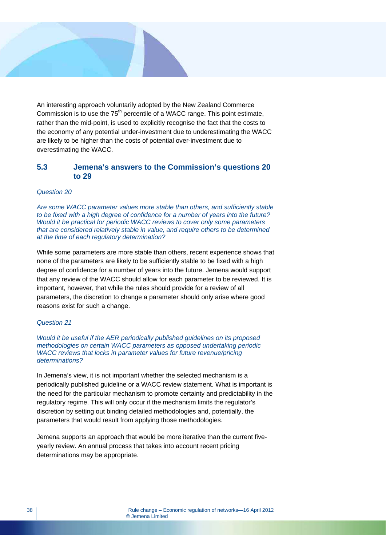An interesting approach voluntarily adopted by the New Zealand Commerce Commission is to use the  $75<sup>th</sup>$  percentile of a WACC range. This point estimate, rather than the mid-point, is used to explicitly recognise the fact that the costs to the economy of any potential under-investment due to underestimating the WACC are likely to be higher than the costs of potential over-investment due to overestimating the WACC.

## **5.3 Jemena's answers to the Commission's questions 20 to 29**

#### *Question 20*

*Are some WACC parameter values more stable than others, and sufficiently stable to be fixed with a high degree of confidence for a number of years into the future? Would it be practical for periodic WACC reviews to cover only some parameters that are considered relatively stable in value, and require others to be determined at the time of each regulatory determination?* 

While some parameters are more stable than others, recent experience shows that none of the parameters are likely to be sufficiently stable to be fixed with a high degree of confidence for a number of years into the future. Jemena would support that any review of the WACC should allow for each parameter to be reviewed. It is important, however, that while the rules should provide for a review of all parameters, the discretion to change a parameter should only arise where good reasons exist for such a change.

#### *Question 21*

*Would it be useful if the AER periodically published guidelines on its proposed methodologies on certain WACC parameters as opposed undertaking periodic WACC reviews that locks in parameter values for future revenue/pricing determinations?* 

In Jemena's view, it is not important whether the selected mechanism is a periodically published guideline or a WACC review statement. What is important is the need for the particular mechanism to promote certainty and predictability in the regulatory regime. This will only occur if the mechanism limits the regulator's discretion by setting out binding detailed methodologies and, potentially, the parameters that would result from applying those methodologies.

Jemena supports an approach that would be more iterative than the current fiveyearly review. An annual process that takes into account recent pricing determinations may be appropriate.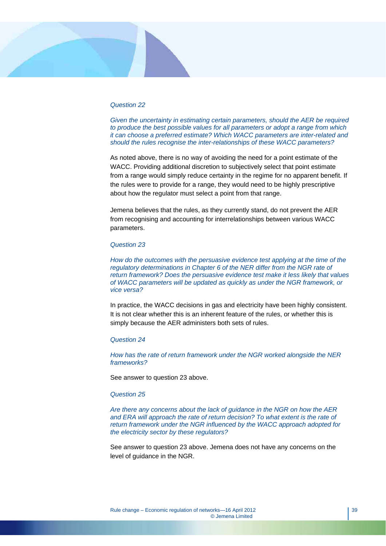#### *Question 22*

*Given the uncertainty in estimating certain parameters, should the AER be required to produce the best possible values for all parameters or adopt a range from which it can choose a preferred estimate? Which WACC parameters are inter-related and should the rules recognise the inter-relationships of these WACC parameters?* 

As noted above, there is no way of avoiding the need for a point estimate of the WACC. Providing additional discretion to subjectively select that point estimate from a range would simply reduce certainty in the regime for no apparent benefit. If the rules were to provide for a range, they would need to be highly prescriptive about how the regulator must select a point from that range.

Jemena believes that the rules, as they currently stand, do not prevent the AER from recognising and accounting for interrelationships between various WACC parameters.

#### *Question 23*

*How do the outcomes with the persuasive evidence test applying at the time of the requiatory determinations in Chapter 6 of the NER differ from the NGR rate of return framework? Does the persuasive evidence test make it less likely that values of WACC parameters will be updated as quickly as under the NGR framework, or vice versa?* 

In practice, the WACC decisions in gas and electricity have been highly consistent. It is not clear whether this is an inherent feature of the rules, or whether this is simply because the AER administers both sets of rules.

#### *Question 24*

*How has the rate of return framework under the NGR worked alongside the NER frameworks?* 

See answer to question 23 above.

#### *Question 25*

*Are there any concerns about the lack of guidance in the NGR on how the AER*  and ERA will approach the rate of return decision? To what extent is the rate of *return framework under the NGR influenced by the WACC approach adopted for the electricity sector by these regulators?* 

See answer to question 23 above. Jemena does not have any concerns on the level of guidance in the NGR.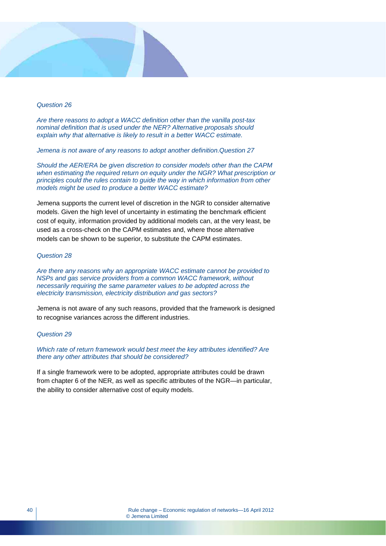#### *Question 26*

*Are there reasons to adopt a WACC definition other than the vanilla post-tax nominal definition that is used under the NER? Alternative proposals should explain why that alternative is likely to result in a better WACC estimate.* 

*Jemena is not aware of any reasons to adopt another definition.Question 27* 

*Should the AER/ERA be given discretion to consider models other than the CAPM when estimating the required return on equity under the NGR? What prescription or principles could the rules contain to guide the way in which information from other models might be used to produce a better WACC estimate?* 

Jemena supports the current level of discretion in the NGR to consider alternative models. Given the high level of uncertainty in estimating the benchmark efficient cost of equity, information provided by additional models can, at the very least, be used as a cross-check on the CAPM estimates and, where those alternative models can be shown to be superior, to substitute the CAPM estimates.

#### *Question 28*

*Are there any reasons why an appropriate WACC estimate cannot be provided to NSPs and gas service providers from a common WACC framework, without necessarily requiring the same parameter values to be adopted across the electricity transmission, electricity distribution and gas sectors?* 

Jemena is not aware of any such reasons, provided that the framework is designed to recognise variances across the different industries.

#### *Question 29*

*Which rate of return framework would best meet the key attributes identified? Are there any other attributes that should be considered?* 

If a single framework were to be adopted, appropriate attributes could be drawn from chapter 6 of the NER, as well as specific attributes of the NGR—in particular, the ability to consider alternative cost of equity models.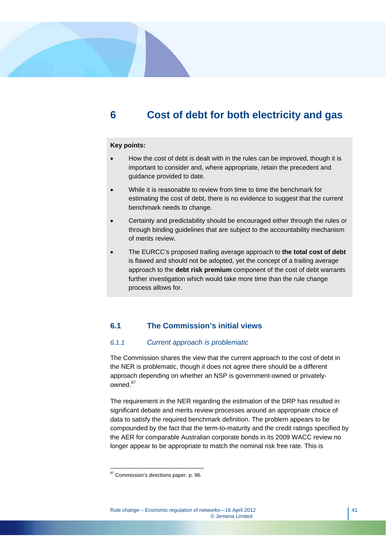## **6 Cost of debt for both electricity and gas**

## **Key points:**

- How the cost of debt is dealt with in the rules can be improved, though it is important to consider and, where appropriate, retain the precedent and guidance provided to date.
- While it is reasonable to review from time to time the benchmark for estimating the cost of debt, there is no evidence to suggest that the current benchmark needs to change.
- Certainty and predictability should be encouraged either through the rules or through binding guidelines that are subject to the accountability mechanism of merits review.
- The EURCC's proposed trailing average approach to **the total cost of debt**  is flawed and should not be adopted, yet the concept of a trailing average approach to the **debt risk premium** component of the cost of debt warrants further investigation which would take more time than the rule change process allows for.

## **6.1 The Commission's initial views**

#### *6.1.1 Current approach is problematic*

The Commission shares the view that the current approach to the cost of debt in the NER is problematic, though it does not agree there should be a different approach depending on whether an NSP is government-owned or privatelyowned<sup>67</sup>

The requirement in the NER regarding the estimation of the DRP has resulted in significant debate and merits review processes around an appropriate choice of data to satisfy the required benchmark definition. The problem appears to be compounded by the fact that the term-to-maturity and the credit ratings specified by the AER for comparable Australian corporate bonds in its 2009 WACC review no longer appear to be appropriate to match the nominal risk free rate. This is

 $67$  Commission's directions paper. p. 96.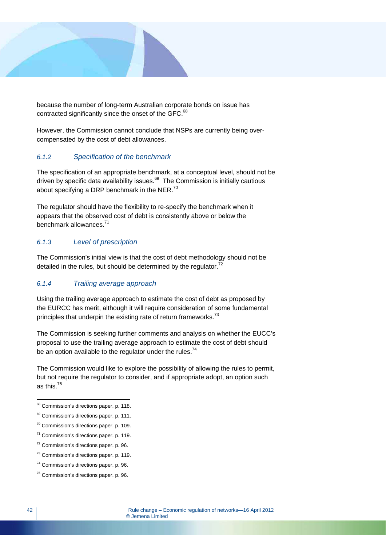

because the number of long-term Australian corporate bonds on issue has contracted significantly since the onset of the GFC.<sup>68</sup>

However, the Commission cannot conclude that NSPs are currently being overcompensated by the cost of debt allowances.

## *6.1.2 Specification of the benchmark*

The specification of an appropriate benchmark, at a conceptual level, should not be driven by specific data availability issues. $69$  The Commission is initially cautious about specifying a DRP benchmark in the NER.<sup>70</sup>

The regulator should have the flexibility to re-specify the benchmark when it appears that the observed cost of debt is consistently above or below the benchmark allowances<sup>71</sup>

## *6.1.3 Level of prescription*

The Commission's initial view is that the cost of debt methodology should not be detailed in the rules, but should be determined by the regulator. $72$ 

## *6.1.4 Trailing average approach*

Using the trailing average approach to estimate the cost of debt as proposed by the EURCC has merit, although it will require consideration of some fundamental principles that underpin the existing rate of return frameworks.<sup>73</sup>

The Commission is seeking further comments and analysis on whether the EUCC's proposal to use the trailing average approach to estimate the cost of debt should be an option available to the regulator under the rules.<sup>74</sup>

The Commission would like to explore the possibility of allowing the rules to permit, but not require the regulator to consider, and if appropriate adopt, an option such as this.75

<sup>&</sup>lt;sup>68</sup> Commission's directions paper. p. 118.

<sup>&</sup>lt;sup>69</sup> Commission's directions paper. p. 111.

 $70$  Commission's directions paper. p. 109.

<sup>71</sup> Commission's directions paper. p. 119.

<sup>72</sup> Commission's directions paper. p. 96.

<sup>73</sup> Commission's directions paper. p. 119.

<sup>74</sup> Commission's directions paper. p. 96.

<sup>75</sup> Commission's directions paper. p. 96.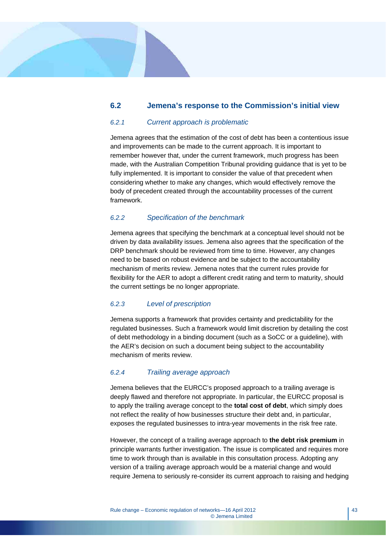## **6.2 Jemena's response to the Commission's initial view**

#### *6.2.1 Current approach is problematic*

Jemena agrees that the estimation of the cost of debt has been a contentious issue and improvements can be made to the current approach. It is important to remember however that, under the current framework, much progress has been made, with the Australian Competition Tribunal providing guidance that is yet to be fully implemented. It is important to consider the value of that precedent when considering whether to make any changes, which would effectively remove the body of precedent created through the accountability processes of the current framework.

#### *6.2.2 Specification of the benchmark*

Jemena agrees that specifying the benchmark at a conceptual level should not be driven by data availability issues. Jemena also agrees that the specification of the DRP benchmark should be reviewed from time to time. However, any changes need to be based on robust evidence and be subject to the accountability mechanism of merits review. Jemena notes that the current rules provide for flexibility for the AER to adopt a different credit rating and term to maturity, should the current settings be no longer appropriate.

#### *6.2.3 Level of prescription*

Jemena supports a framework that provides certainty and predictability for the regulated businesses. Such a framework would limit discretion by detailing the cost of debt methodology in a binding document (such as a SoCC or a guideline), with the AER's decision on such a document being subject to the accountability mechanism of merits review.

#### *6.2.4 Trailing average approach*

Jemena believes that the EURCC's proposed approach to a trailing average is deeply flawed and therefore not appropriate. In particular, the EURCC proposal is to apply the trailing average concept to the **total cost of debt**, which simply does not reflect the reality of how businesses structure their debt and, in particular, exposes the regulated businesses to intra-year movements in the risk free rate.

However, the concept of a trailing average approach to **the debt risk premium** in principle warrants further investigation. The issue is complicated and requires more time to work through than is available in this consultation process. Adopting any version of a trailing average approach would be a material change and would require Jemena to seriously re-consider its current approach to raising and hedging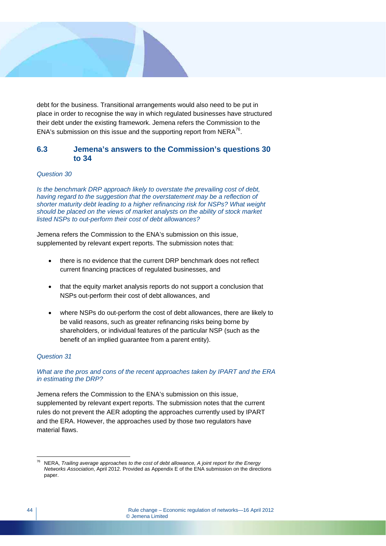

debt for the business. Transitional arrangements would also need to be put in place in order to recognise the way in which regulated businesses have structured their debt under the existing framework. Jemena refers the Commission to the ENA's submission on this issue and the supporting report from  $NERA^{76}$ .

## **6.3 Jemena's answers to the Commission's questions 30 to 34**

#### *Question 30*

*Is the benchmark DRP approach likely to overstate the prevailing cost of debt, having regard to the suggestion that the overstatement may be a reflection of shorter maturity debt leading to a higher refinancing risk for NSPs? What weight should be placed on the views of market analysts on the ability of stock market listed NSPs to out-perform their cost of debt allowances?* 

Jemena refers the Commission to the ENA's submission on this issue, supplemented by relevant expert reports. The submission notes that:

- there is no evidence that the current DRP benchmark does not reflect current financing practices of regulated businesses, and
- that the equity market analysis reports do not support a conclusion that NSPs out-perform their cost of debt allowances, and
- where NSPs do out-perform the cost of debt allowances, there are likely to be valid reasons, such as greater refinancing risks being borne by shareholders, or individual features of the particular NSP (such as the benefit of an implied guarantee from a parent entity).

#### *Question 31*

*What are the pros and cons of the recent approaches taken by IPART and the ERA in estimating the DRP?* 

Jemena refers the Commission to the ENA's submission on this issue, supplemented by relevant expert reports. The submission notes that the current rules do not prevent the AER adopting the approaches currently used by IPART and the ERA. However, the approaches used by those two regulators have material flaws.

 $\overline{a}$ 76 NERA, *Trailing average approaches to the cost of debt allowance, A joint report for the Energy Networks Association*, April 2012. Provided as Appendix E of the ENA submission on the directions paper.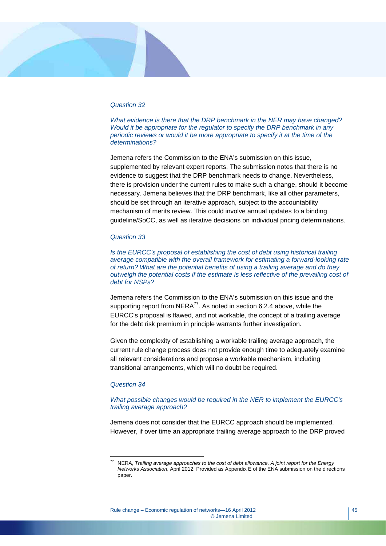#### *Question 32*

*What evidence is there that the DRP benchmark in the NER may have changed? Would it be appropriate for the regulator to specify the DRP benchmark in any periodic reviews or would it be more appropriate to specify it at the time of the determinations?* 

Jemena refers the Commission to the ENA's submission on this issue, supplemented by relevant expert reports. The submission notes that there is no evidence to suggest that the DRP benchmark needs to change. Nevertheless, there is provision under the current rules to make such a change, should it become necessary. Jemena believes that the DRP benchmark, like all other parameters, should be set through an iterative approach, subject to the accountability mechanism of merits review. This could involve annual updates to a binding guideline/SoCC, as well as iterative decisions on individual pricing determinations.

#### *Question 33*

*Is the EURCC's proposal of establishing the cost of debt using historical trailing average compatible with the overall framework for estimating a forward-looking rate of return? What are the potential benefits of using a trailing average and do they outweigh the potential costs if the estimate is less reflective of the prevailing cost of debt for NSPs?* 

Jemena refers the Commission to the ENA's submission on this issue and the supporting report from  $NERA^{77}$ . As noted in section 6.2.4 above, while the EURCC's proposal is flawed, and not workable, the concept of a trailing average for the debt risk premium in principle warrants further investigation.

Given the complexity of establishing a workable trailing average approach, the current rule change process does not provide enough time to adequately examine all relevant considerations and propose a workable mechanism, including transitional arrangements, which will no doubt be required.

#### *Question 34*

 $\overline{a}$ 

#### *What possible changes would be required in the NER to implement the EURCC's trailing average approach?*

Jemena does not consider that the EURCC approach should be implemented. However, if over time an appropriate trailing average approach to the DRP proved

<sup>77</sup> NERA, *Trailing average approaches to the cost of debt allowance, A joint report for the Energy Networks Association*, April 2012. Provided as Appendix E of the ENA submission on the directions paper.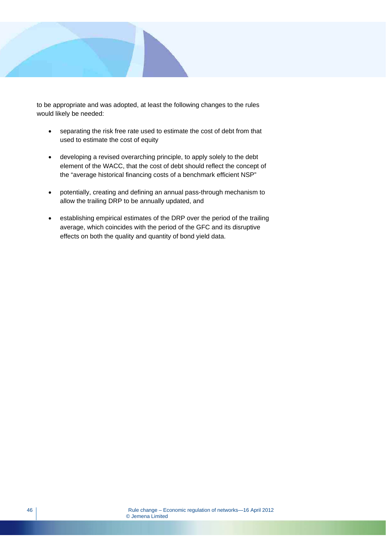

to be appropriate and was adopted, at least the following changes to the rules would likely be needed:

- separating the risk free rate used to estimate the cost of debt from that used to estimate the cost of equity
- developing a revised overarching principle, to apply solely to the debt element of the WACC, that the cost of debt should reflect the concept of the "average historical financing costs of a benchmark efficient NSP"
- potentially, creating and defining an annual pass-through mechanism to allow the trailing DRP to be annually updated, and
- establishing empirical estimates of the DRP over the period of the trailing average, which coincides with the period of the GFC and its disruptive effects on both the quality and quantity of bond yield data.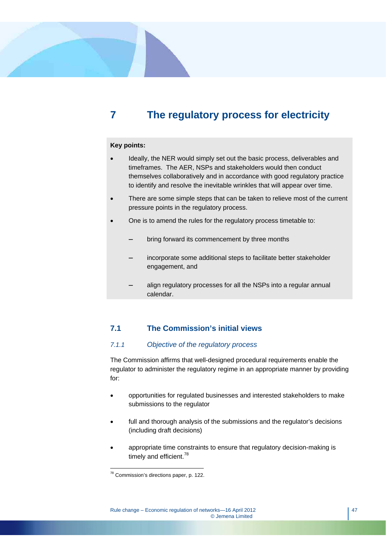## **7 The regulatory process for electricity**

#### **Key points:**

- Ideally, the NER would simply set out the basic process, deliverables and timeframes. The AER, NSPs and stakeholders would then conduct themselves collaboratively and in accordance with good regulatory practice to identify and resolve the inevitable wrinkles that will appear over time.
- There are some simple steps that can be taken to relieve most of the current pressure points in the regulatory process.
- One is to amend the rules for the regulatory process timetable to:
	- bring forward its commencement by three months
	- incorporate some additional steps to facilitate better stakeholder engagement, and
	- align regulatory processes for all the NSPs into a regular annual calendar.

## **7.1 The Commission's initial views**

## *7.1.1 Objective of the regulatory process*

The Commission affirms that well-designed procedural requirements enable the regulator to administer the regulatory regime in an appropriate manner by providing for:

- opportunities for regulated businesses and interested stakeholders to make submissions to the regulator
- full and thorough analysis of the submissions and the regulator's decisions (including draft decisions)
- appropriate time constraints to ensure that regulatory decision-making is timely and efficient.<sup>78</sup>

 $78$  Commission's directions paper, p. 122.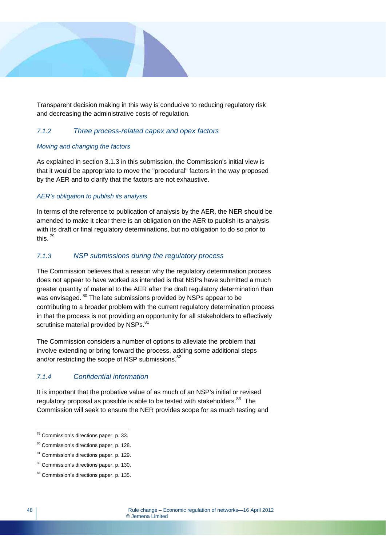

Transparent decision making in this way is conducive to reducing regulatory risk and decreasing the administrative costs of regulation.

## *7.1.2 Three process-related capex and opex factors*

## *Moving and changing the factors*

As explained in section 3.1.3 in this submission, the Commission's initial view is that it would be appropriate to move the "procedural" factors in the way proposed by the AER and to clarify that the factors are not exhaustive.

## *AER's obligation to publish its analysis*

In terms of the reference to publication of analysis by the AER, the NER should be amended to make it clear there is an obligation on the AER to publish its analysis with its draft or final regulatory determinations, but no obligation to do so prior to this. 79

## *7.1.3 NSP submissions during the regulatory process*

The Commission believes that a reason why the regulatory determination process does not appear to have worked as intended is that NSPs have submitted a much greater quantity of material to the AER after the draft regulatory determination than was envisaged. <sup>80</sup> The late submissions provided by NSPs appear to be contributing to a broader problem with the current regulatory determination process in that the process is not providing an opportunity for all stakeholders to effectively scrutinise material provided by NSPs.<sup>81</sup>

The Commission considers a number of options to alleviate the problem that involve extending or bring forward the process, adding some additional steps and/or restricting the scope of NSP submissions.<sup>82</sup>

## *7.1.4 Confidential information*

It is important that the probative value of as much of an NSP's initial or revised regulatory proposal as possible is able to be tested with stakeholders. $83$  The Commission will seek to ensure the NER provides scope for as much testing and

 $\overline{a}$ <sup>79</sup> Commission's directions paper, p. 33.

<sup>80</sup> Commission's directions paper, p. 128.

<sup>81</sup> Commission's directions paper, p. 129.

<sup>&</sup>lt;sup>82</sup> Commission's directions paper, p. 130.

<sup>83</sup> Commission's directions paper, p. 135.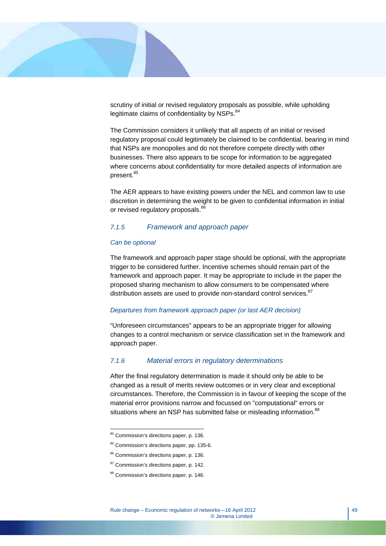

scrutiny of initial or revised regulatory proposals as possible, while upholding legitimate claims of confidentiality by NSPs.<sup>84</sup>

The Commission considers it unlikely that all aspects of an initial or revised regulatory proposal could legitimately be claimed to be confidential, bearing in mind that NSPs are monopolies and do not therefore compete directly with other businesses. There also appears to be scope for information to be aggregated where concerns about confidentiality for more detailed aspects of information are present.<sup>85</sup>

The AER appears to have existing powers under the NEL and common law to use discretion in determining the weight to be given to confidential information in initial or revised regulatory proposals.<sup>86</sup>

#### *7.1.5 Framework and approach paper*

#### *Can be optional*

The framework and approach paper stage should be optional, with the appropriate trigger to be considered further. Incentive schemes should remain part of the framework and approach paper. It may be appropriate to include in the paper the proposed sharing mechanism to allow consumers to be compensated where distribution assets are used to provide non-standard control services.<sup>87</sup>

#### *Departures from framework approach paper (or last AER decision)*

"Unforeseen circumstances" appears to be an appropriate trigger for allowing changes to a control mechanism or service classification set in the framework and approach paper.

## *7.1.6 Material errors in regulatory determinations*

After the final regulatory determination is made it should only be able to be changed as a result of merits review outcomes or in very clear and exceptional circumstances. Therefore, the Commission is in favour of keeping the scope of the material error provisions narrow and focussed on "computational" errors or situations where an NSP has submitted false or misleading information.<sup>88</sup>

 $\overline{a}$ <sup>84</sup> Commission's directions paper, p. 136.

<sup>85</sup> Commission's directions paper, pp. 135-6.

<sup>86</sup> Commission's directions paper, p. 136.

<sup>&</sup>lt;sup>87</sup> Commission's directions paper, p. 142.

<sup>88</sup> Commission's directions paper, p. 146.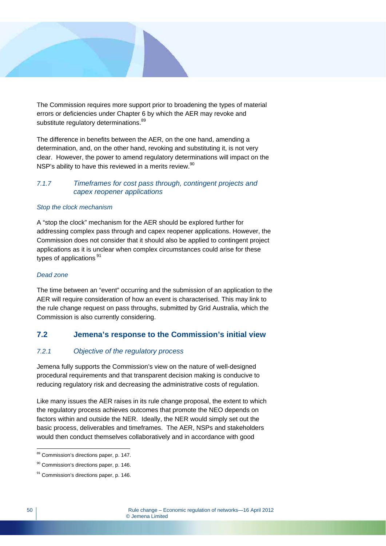

The Commission requires more support prior to broadening the types of material errors or deficiencies under Chapter 6 by which the AER may revoke and substitute regulatory determinations.<sup>89</sup>

The difference in benefits between the AER, on the one hand, amending a determination, and, on the other hand, revoking and substituting it, is not very clear. However, the power to amend regulatory determinations will impact on the NSP's ability to have this reviewed in a merits review.<sup>90</sup>

## *7.1.7 Timeframes for cost pass through, contingent projects and capex reopener applications*

#### *Stop the clock mechanism*

A "stop the clock" mechanism for the AER should be explored further for addressing complex pass through and capex reopener applications. However, the Commission does not consider that it should also be applied to contingent project applications as it is unclear when complex circumstances could arise for these types of applications  $91$ 

#### *Dead zone*

The time between an "event" occurring and the submission of an application to the AER will require consideration of how an event is characterised. This may link to the rule change request on pass throughs, submitted by Grid Australia, which the Commission is also currently considering.

## **7.2 Jemena's response to the Commission's initial view**

## *7.2.1 Objective of the regulatory process*

Jemena fully supports the Commission's view on the nature of well-designed procedural requirements and that transparent decision making is conducive to reducing regulatory risk and decreasing the administrative costs of regulation.

Like many issues the AER raises in its rule change proposal, the extent to which the regulatory process achieves outcomes that promote the NEO depends on factors within and outside the NER. Ideally, the NER would simply set out the basic process, deliverables and timeframes. The AER, NSPs and stakeholders would then conduct themselves collaboratively and in accordance with good

<sup>&</sup>lt;sup>89</sup> Commission's directions paper, p. 147.

<sup>&</sup>lt;sup>90</sup> Commission's directions paper, p. 146.

<sup>&</sup>lt;sup>91</sup> Commission's directions paper, p. 146.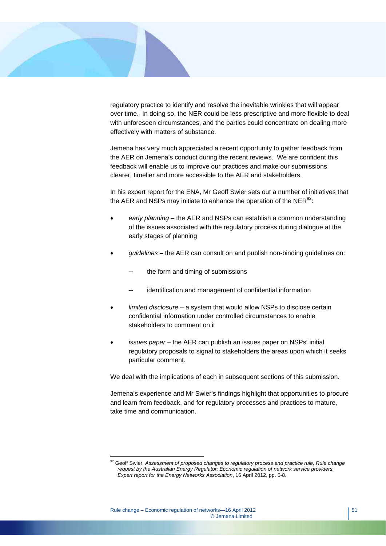

 $\overline{a}$ 

regulatory practice to identify and resolve the inevitable wrinkles that will appear over time. In doing so, the NER could be less prescriptive and more flexible to deal with unforeseen circumstances, and the parties could concentrate on dealing more effectively with matters of substance.

Jemena has very much appreciated a recent opportunity to gather feedback from the AER on Jemena's conduct during the recent reviews. We are confident this feedback will enable us to improve our practices and make our submissions clearer, timelier and more accessible to the AER and stakeholders.

In his expert report for the ENA, Mr Geoff Swier sets out a number of initiatives that the AER and NSPs may initiate to enhance the operation of the  $NER^{92}$ .

- *early planning* the AER and NSPs can establish a common understanding of the issues associated with the regulatory process during dialogue at the early stages of planning
- *guidelines* the AER can consult on and publish non-binding guidelines on:
	- the form and timing of submissions
	- identification and management of confidential information
- *limited disclosure*  a system that would allow NSPs to disclose certain confidential information under controlled circumstances to enable stakeholders to comment on it
- *issues paper* the AER can publish an issues paper on NSPs' initial regulatory proposals to signal to stakeholders the areas upon which it seeks particular comment.

We deal with the implications of each in subsequent sections of this submission.

Jemena's experience and Mr Swier's findings highlight that opportunities to procure and learn from feedback, and for regulatory processes and practices to mature, take time and communication.

<sup>&</sup>lt;sup>92</sup> Geoff Swier, Assessment of proposed changes to regulatory process and practice rule, Rule change *request by the Australian Energy Regulator: Economic regulation of network service providers, Expert report for the Energy Networks Association*, 16 April 2012, pp. 5-8.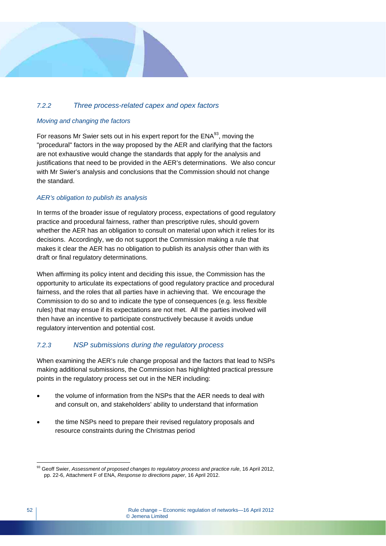## *7.2.2 Three process-related capex and opex factors*

## *Moving and changing the factors*

For reasons Mr Swier sets out in his expert report for the  $ENA<sup>93</sup>$ , moving the "procedural" factors in the way proposed by the AER and clarifying that the factors are not exhaustive would change the standards that apply for the analysis and justifications that need to be provided in the AER's determinations. We also concur with Mr Swier's analysis and conclusions that the Commission should not change the standard.

## *AER's obligation to publish its analysis*

In terms of the broader issue of regulatory process, expectations of good regulatory practice and procedural fairness, rather than prescriptive rules, should govern whether the AER has an obligation to consult on material upon which it relies for its decisions. Accordingly, we do not support the Commission making a rule that makes it clear the AER has no obligation to publish its analysis other than with its draft or final regulatory determinations.

When affirming its policy intent and deciding this issue, the Commission has the opportunity to articulate its expectations of good regulatory practice and procedural fairness, and the roles that all parties have in achieving that. We encourage the Commission to do so and to indicate the type of consequences (e.g. less flexible rules) that may ensue if its expectations are not met. All the parties involved will then have an incentive to participate constructively because it avoids undue regulatory intervention and potential cost.

## *7.2.3 NSP submissions during the regulatory process*

When examining the AER's rule change proposal and the factors that lead to NSPs making additional submissions, the Commission has highlighted practical pressure points in the regulatory process set out in the NER including:

- the volume of information from the NSPs that the AER needs to deal with and consult on, and stakeholders' ability to understand that information
- the time NSPs need to prepare their revised regulatory proposals and resource constraints during the Christmas period

 $\overline{a}$ 93 Geoff Swier, *Assessment of proposed changes to regulatory process and practice rule*, 16 April 2012, pp. 22-6, Attachment F of ENA, *Response to directions paper*, 16 April 2012.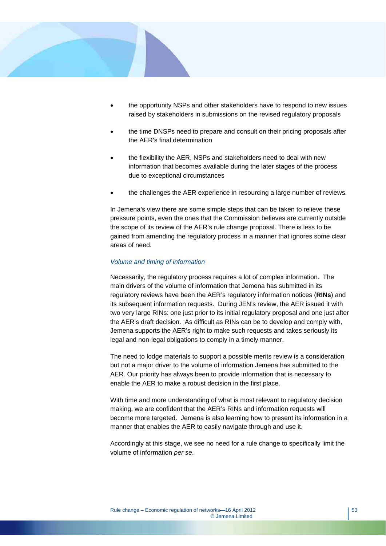

- the opportunity NSPs and other stakeholders have to respond to new issues raised by stakeholders in submissions on the revised regulatory proposals
- the time DNSPs need to prepare and consult on their pricing proposals after the AER's final determination
- the flexibility the AER, NSPs and stakeholders need to deal with new information that becomes available during the later stages of the process due to exceptional circumstances
- the challenges the AER experience in resourcing a large number of reviews.

In Jemena's view there are some simple steps that can be taken to relieve these pressure points, even the ones that the Commission believes are currently outside the scope of its review of the AER's rule change proposal. There is less to be gained from amending the regulatory process in a manner that ignores some clear areas of need.

## *Volume and timing of information*

Necessarily, the regulatory process requires a lot of complex information. The main drivers of the volume of information that Jemena has submitted in its regulatory reviews have been the AER's regulatory information notices (**RINs**) and its subsequent information requests. During JEN's review, the AER issued it with two very large RINs: one just prior to its initial regulatory proposal and one just after the AER's draft decision. As difficult as RINs can be to develop and comply with, Jemena supports the AER's right to make such requests and takes seriously its legal and non-legal obligations to comply in a timely manner.

The need to lodge materials to support a possible merits review is a consideration but not a major driver to the volume of information Jemena has submitted to the AER. Our priority has always been to provide information that is necessary to enable the AER to make a robust decision in the first place.

With time and more understanding of what is most relevant to regulatory decision making, we are confident that the AER's RINs and information requests will become more targeted. Jemena is also learning how to present its information in a manner that enables the AER to easily navigate through and use it.

Accordingly at this stage, we see no need for a rule change to specifically limit the volume of information *per se*.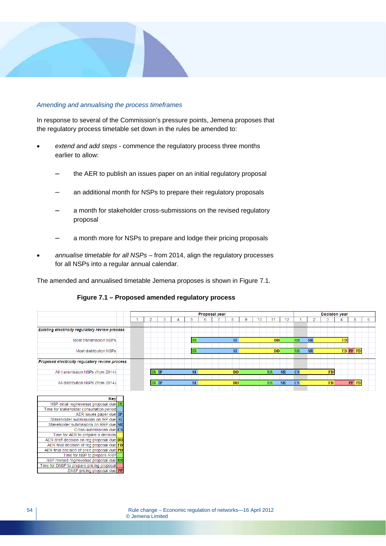## *Amending and annualising the process timeframes*

In response to several of the Commission's pressure points, Jemena proposes that the regulatory process timetable set down in the rules be amended to:

- *extend and add steps* commence the regulatory process three months earlier to allow:
	- the AER to publish an issues paper on an initial regulatory proposal
	- an additional month for NSPs to prepare their regulatory proposals
	- a month for stakeholder cross-submissions on the revised regulatory proposal
	- a month more for NSPs to prepare and lodge their pricing proposals
- *annualise timetable for all NSPs* from 2014, align the regulatory processes for all NSPs into a regular annual calendar.

The amended and annualised timetable Jemena proposes is shown in Figure 7.1.

## **Figure 7.1 – Proposed amended regulatory process**

|                                                | <b>Proposal year</b> |       |  |  |           |    |  |           | <b>Decision year</b> |           |           |           |           |           |    |       |   |
|------------------------------------------------|----------------------|-------|--|--|-----------|----|--|-----------|----------------------|-----------|-----------|-----------|-----------|-----------|----|-------|---|
|                                                |                      |       |  |  |           |    |  |           |                      |           |           |           |           |           |    |       |   |
|                                                |                      |       |  |  | 5         | 6  |  | 8         | 9                    |           | 12        |           |           |           |    |       | 6 |
|                                                |                      |       |  |  |           |    |  |           |                      |           |           |           |           |           |    |       |   |
| Existing electricity regulatory review process |                      |       |  |  |           |    |  |           |                      |           |           |           |           |           |    |       |   |
|                                                |                      |       |  |  |           |    |  |           |                      |           |           |           |           |           |    |       |   |
| Most transmission NSPs                         |                      |       |  |  | <b>IR</b> |    |  | SI        |                      | <b>DD</b> |           | RR        | <b>SR</b> |           | FD |       |   |
|                                                |                      |       |  |  |           |    |  |           |                      |           |           |           |           |           |    |       |   |
| Most distribution NSPs                         |                      |       |  |  | <b>IR</b> | SI |  | <b>DD</b> |                      | RR        | <b>SR</b> |           |           | FD PP PD  |    |       |   |
| Proposed electricity regulatory review process |                      |       |  |  |           |    |  |           |                      |           |           |           |           |           |    |       |   |
| All transmission NSPs (from 2014)              |                      | IR IP |  |  | <b>SI</b> |    |  | <b>DD</b> |                      | <b>RR</b> | <b>SR</b> | CS        |           | <b>FD</b> |    |       |   |
|                                                |                      |       |  |  |           |    |  |           |                      |           |           |           |           |           |    |       |   |
| All distribution NSPs (from 2014)              |                      | IR IP |  |  | SI        |    |  | DD        |                      | RR        | <b>SR</b> | <b>CS</b> |           | <b>FD</b> |    | PP PD |   |

| Key                                         |           |
|---------------------------------------------|-----------|
| NSP initial reg/revenue proposal due        | <b>IR</b> |
| Time for stakeholder consultation period    |           |
| AER issues paper due                        | <b>IP</b> |
| Stakeholder submissions on IRP due          | SI        |
| Stakeholder submissions on RRP due SR       |           |
| Cross-submissions due CS                    |           |
| Time for AER to prepare a decision          |           |
| AER draft decision on reg proposal due DD   |           |
| AER final decision of reg proposal due FD   |           |
| AER final decision of price proposal due PD |           |
| Time for NSP to prepare RRP                 |           |
| NSP revised reg/revenue proposal due RR     |           |
| Time for DNSP to prepare pricing proposal   |           |
| DNSP pricing proposal due PP                |           |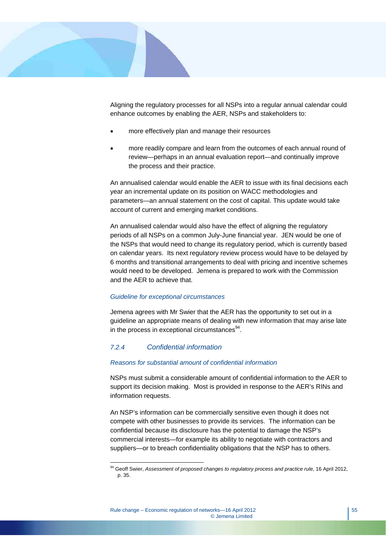

Aligning the regulatory processes for all NSPs into a regular annual calendar could enhance outcomes by enabling the AER, NSPs and stakeholders to:

- more effectively plan and manage their resources
- more readily compare and learn from the outcomes of each annual round of review—perhaps in an annual evaluation report—and continually improve the process and their practice.

An annualised calendar would enable the AER to issue with its final decisions each year an incremental update on its position on WACC methodologies and parameters—an annual statement on the cost of capital. This update would take account of current and emerging market conditions.

An annualised calendar would also have the effect of aligning the regulatory periods of all NSPs on a common July-June financial year. JEN would be one of the NSPs that would need to change its regulatory period, which is currently based on calendar years. Its next regulatory review process would have to be delayed by 6 months and transitional arrangements to deal with pricing and incentive schemes would need to be developed. Jemena is prepared to work with the Commission and the AER to achieve that.

#### *Guideline for exceptional circumstances*

Jemena agrees with Mr Swier that the AER has the opportunity to set out in a guideline an appropriate means of dealing with new information that may arise late in the process in exceptional circumstances $94$ .

## *7.2.4 Confidential information*

 $\overline{a}$ 

#### *Reasons for substantial amount of confidential information*

NSPs must submit a considerable amount of confidential information to the AER to support its decision making. Most is provided in response to the AER's RINs and information requests.

An NSP's information can be commercially sensitive even though it does not compete with other businesses to provide its services. The information can be confidential because its disclosure has the potential to damage the NSP's commercial interests—for example its ability to negotiate with contractors and suppliers—or to breach confidentiality obligations that the NSP has to others.

<sup>94</sup> Geoff Swier, *Assessment of proposed changes to regulatory process and practice rule*, 16 April 2012, p. 35.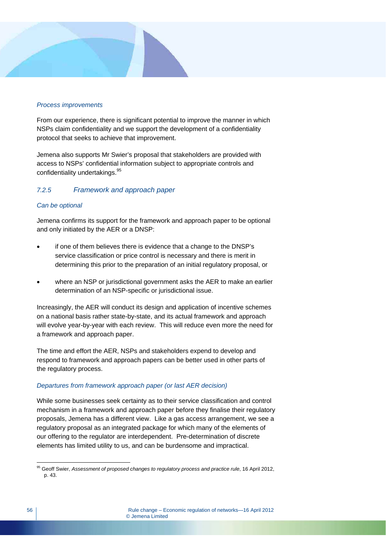## *Process improvements*

From our experience, there is significant potential to improve the manner in which NSPs claim confidentiality and we support the development of a confidentiality protocol that seeks to achieve that improvement.

Jemena also supports Mr Swier's proposal that stakeholders are provided with access to NSPs' confidential information subject to appropriate controls and confidentiality undertakings.<sup>95</sup>

## *7.2.5 Framework and approach paper*

#### *Can be optional*

Jemena confirms its support for the framework and approach paper to be optional and only initiated by the AER or a DNSP:

- if one of them believes there is evidence that a change to the DNSP's service classification or price control is necessary and there is merit in determining this prior to the preparation of an initial regulatory proposal, or
- where an NSP or jurisdictional government asks the AER to make an earlier determination of an NSP-specific or jurisdictional issue.

Increasingly, the AER will conduct its design and application of incentive schemes on a national basis rather state-by-state, and its actual framework and approach will evolve year-by-year with each review. This will reduce even more the need for a framework and approach paper.

The time and effort the AER, NSPs and stakeholders expend to develop and respond to framework and approach papers can be better used in other parts of the regulatory process.

## *Departures from framework approach paper (or last AER decision)*

While some businesses seek certainty as to their service classification and control mechanism in a framework and approach paper before they finalise their regulatory proposals, Jemena has a different view. Like a gas access arrangement, we see a regulatory proposal as an integrated package for which many of the elements of our offering to the regulator are interdependent. Pre-determination of discrete elements has limited utility to us, and can be burdensome and impractical.

 $\overline{a}$ 95 Geoff Swier, *Assessment of proposed changes to regulatory process and practice rule*, 16 April 2012, p. 43.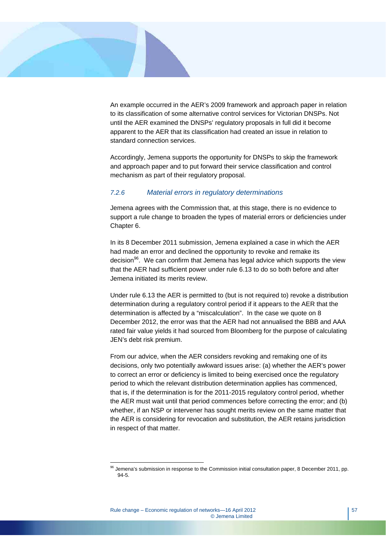

An example occurred in the AER's 2009 framework and approach paper in relation to its classification of some alternative control services for Victorian DNSPs. Not until the AER examined the DNSPs' regulatory proposals in full did it become apparent to the AER that its classification had created an issue in relation to standard connection services.

Accordingly, Jemena supports the opportunity for DNSPs to skip the framework and approach paper and to put forward their service classification and control mechanism as part of their regulatory proposal.

#### *7.2.6 Material errors in regulatory determinations*

Jemena agrees with the Commission that, at this stage, there is no evidence to support a rule change to broaden the types of material errors or deficiencies under Chapter 6.

In its 8 December 2011 submission, Jemena explained a case in which the AER had made an error and declined the opportunity to revoke and remake its decision<sup>96</sup>. We can confirm that Jemena has legal advice which supports the view that the AER had sufficient power under rule 6.13 to do so both before and after Jemena initiated its merits review.

Under rule 6.13 the AER is permitted to (but is not required to) revoke a distribution determination during a regulatory control period if it appears to the AER that the determination is affected by a "miscalculation". In the case we quote on 8 December 2012, the error was that the AER had not annualised the BBB and AAA rated fair value yields it had sourced from Bloomberg for the purpose of calculating JEN's debt risk premium.

From our advice, when the AER considers revoking and remaking one of its decisions, only two potentially awkward issues arise: (a) whether the AER's power to correct an error or deficiency is limited to being exercised once the regulatory period to which the relevant distribution determination applies has commenced, that is, if the determination is for the 2011-2015 regulatory control period, whether the AER must wait until that period commences before correcting the error; and (b) whether, if an NSP or intervener has sought merits review on the same matter that the AER is considering for revocation and substitution, the AER retains jurisdiction in respect of that matter.

 $96$  Jemena's submission in response to the Commission initial consultation paper, 8 December 2011, pp. 94-5.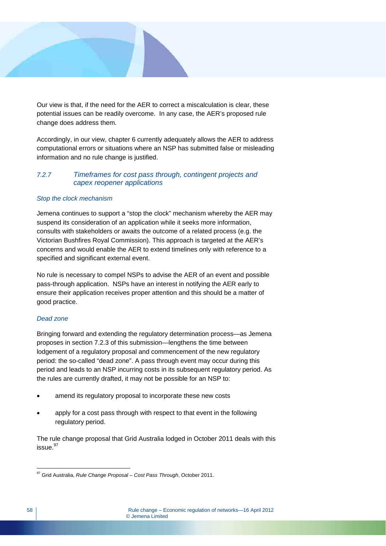

Our view is that, if the need for the AER to correct a miscalculation is clear, these potential issues can be readily overcome. In any case, the AER's proposed rule change does address them.

Accordingly, in our view, chapter 6 currently adequately allows the AER to address computational errors or situations where an NSP has submitted false or misleading information and no rule change is justified.

## *7.2.7 Timeframes for cost pass through, contingent projects and capex reopener applications*

## *Stop the clock mechanism*

Jemena continues to support a "stop the clock" mechanism whereby the AER may suspend its consideration of an application while it seeks more information, consults with stakeholders or awaits the outcome of a related process (e.g. the Victorian Bushfires Royal Commission). This approach is targeted at the AER's concerns and would enable the AER to extend timelines only with reference to a specified and significant external event.

No rule is necessary to compel NSPs to advise the AER of an event and possible pass-through application. NSPs have an interest in notifying the AER early to ensure their application receives proper attention and this should be a matter of good practice.

#### *Dead zone*

Bringing forward and extending the regulatory determination process—as Jemena proposes in section 7.2.3 of this submission—lengthens the time between lodgement of a regulatory proposal and commencement of the new regulatory period: the so-called "dead zone". A pass through event may occur during this period and leads to an NSP incurring costs in its subsequent regulatory period. As the rules are currently drafted, it may not be possible for an NSP to:

- amend its regulatory proposal to incorporate these new costs
- apply for a cost pass through with respect to that event in the following regulatory period.

The rule change proposal that Grid Australia lodged in October 2011 deals with this  $is sue.<sup>97</sup>$ 

 $\overline{a}$ 97 Grid Australia, *Rule Change Proposal – Cost Pass Through*, October 2011.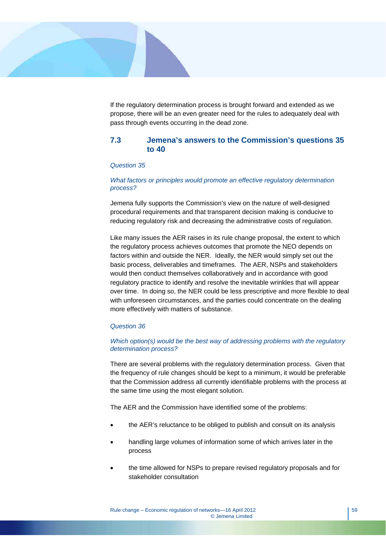

If the regulatory determination process is brought forward and extended as we propose, there will be an even greater need for the rules to adequately deal with pass through events occurring in the dead zone.

## **7.3 Jemena's answers to the Commission's questions 35 to 40**

#### *Question 35*

#### *What factors or principles would promote an effective regulatory determination process?*

Jemena fully supports the Commission's view on the nature of well-designed procedural requirements and that transparent decision making is conducive to reducing regulatory risk and decreasing the administrative costs of regulation.

Like many issues the AER raises in its rule change proposal, the extent to which the regulatory process achieves outcomes that promote the NEO depends on factors within and outside the NER. Ideally, the NER would simply set out the basic process, deliverables and timeframes. The AER, NSPs and stakeholders would then conduct themselves collaboratively and in accordance with good regulatory practice to identify and resolve the inevitable wrinkles that will appear over time. In doing so, the NER could be less prescriptive and more flexible to deal with unforeseen circumstances, and the parties could concentrate on the dealing more effectively with matters of substance.

#### *Question 36*

#### *Which option(s) would be the best way of addressing problems with the regulatory determination process?*

There are several problems with the regulatory determination process. Given that the frequency of rule changes should be kept to a minimum, it would be preferable that the Commission address all currently identifiable problems with the process at the same time using the most elegant solution.

The AER and the Commission have identified some of the problems:

- the AER's reluctance to be obliged to publish and consult on its analysis
- handling large volumes of information some of which arrives later in the process
- the time allowed for NSPs to prepare revised regulatory proposals and for stakeholder consultation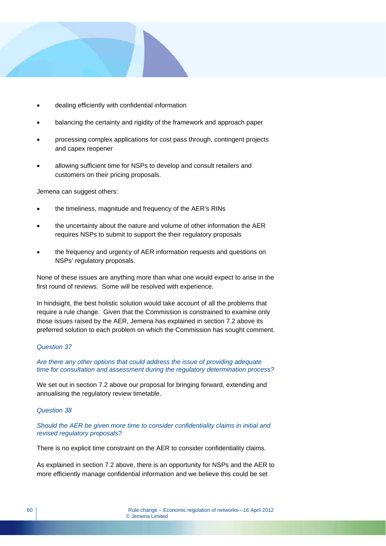

- dealing efficiently with confidential information
- balancing the certainty and rigidity of the framework and approach paper
- processing complex applications for cost pass through, contingent projects and capex reopener
- allowing sufficient time for NSPs to develop and consult retailers and customers on their pricing proposals.

Jemena can suggest others:

- the timeliness, magnitude and frequency of the AER's RINs
- the uncertainty about the nature and volume of other information the AER requires NSPs to submit to support the their regulatory proposals
- the frequency and urgency of AER information requests and questions on NSPs' regulatory proposals.

None of these issues are anything more than what one would expect to arise in the first round of reviews. Some will be resolved with experience.

In hindsight, the best holistic solution would take account of all the problems that require a rule change. Given that the Commission is constrained to examine only those issues raised by the AER, Jemena has explained in section 7.2 above its preferred solution to each problem on which the Commission has sought comment.

#### *Question 37*

*Are there any other options that could address the issue of providing adequate time for consultation and assessment during the regulatory determination process?* 

We set out in section 7.2 above our proposal for bringing forward, extending and annualising the regulatory review timetable.

#### *Question 38*

*Should the AER be given more time to consider confidentiality claims in initial and revised regulatory proposals?* 

There is no explicit time constraint on the AER to consider confidentiality claims.

As explained in section 7.2 above, there is an opportunity for NSPs and the AER to more efficiently manage confidential information and we believe this could be set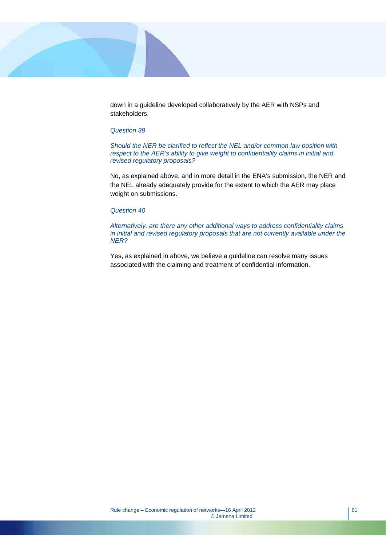

down in a guideline developed collaboratively by the AER with NSPs and stakeholders.

#### *Question 39*

*Should the NER be clarified to reflect the NEL and/or common law position with respect to the AER's ability to give weight to confidentiality claims in initial and revised regulatory proposals?* 

No, as explained above, and in more detail in the ENA's submission, the NER and the NEL already adequately provide for the extent to which the AER may place weight on submissions.

#### *Question 40*

*Alternatively, are there any other additional ways to address confidentiality claims in initial and revised regulatory proposals that are not currently available under the NER?* 

Yes, as explained in above, we believe a guideline can resolve many issues associated with the claiming and treatment of confidential information.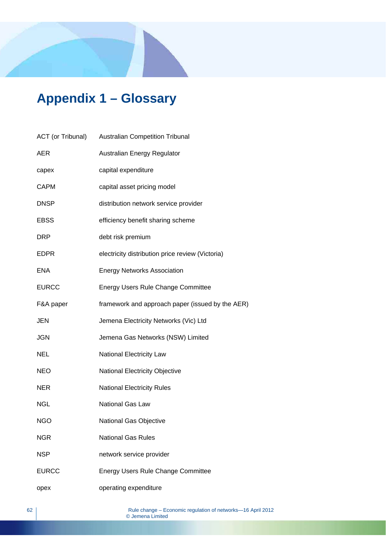# **Appendix 1 – Glossary**

| ACT (or Tribunal) | <b>Australian Competition Tribunal</b>           |
|-------------------|--------------------------------------------------|
| <b>AER</b>        | Australian Energy Regulator                      |
| capex             | capital expenditure                              |
| <b>CAPM</b>       | capital asset pricing model                      |
| <b>DNSP</b>       | distribution network service provider            |
| <b>EBSS</b>       | efficiency benefit sharing scheme                |
| <b>DRP</b>        | debt risk premium                                |
| <b>EDPR</b>       | electricity distribution price review (Victoria) |
| <b>ENA</b>        | <b>Energy Networks Association</b>               |
| <b>EURCC</b>      | Energy Users Rule Change Committee               |
| F&A paper         | framework and approach paper (issued by the AER) |
| <b>JEN</b>        | Jemena Electricity Networks (Vic) Ltd            |
| <b>JGN</b>        | Jemena Gas Networks (NSW) Limited                |
| <b>NEL</b>        | National Electricity Law                         |
| <b>NEO</b>        | National Electricity Objective                   |
| <b>NER</b>        | <b>National Electricity Rules</b>                |
| <b>NGL</b>        | <b>National Gas Law</b>                          |
| <b>NGO</b>        | National Gas Objective                           |
| <b>NGR</b>        | <b>National Gas Rules</b>                        |
| <b>NSP</b>        | network service provider                         |
| <b>EURCC</b>      | Energy Users Rule Change Committee               |
| opex              | operating expenditure                            |
|                   |                                                  |